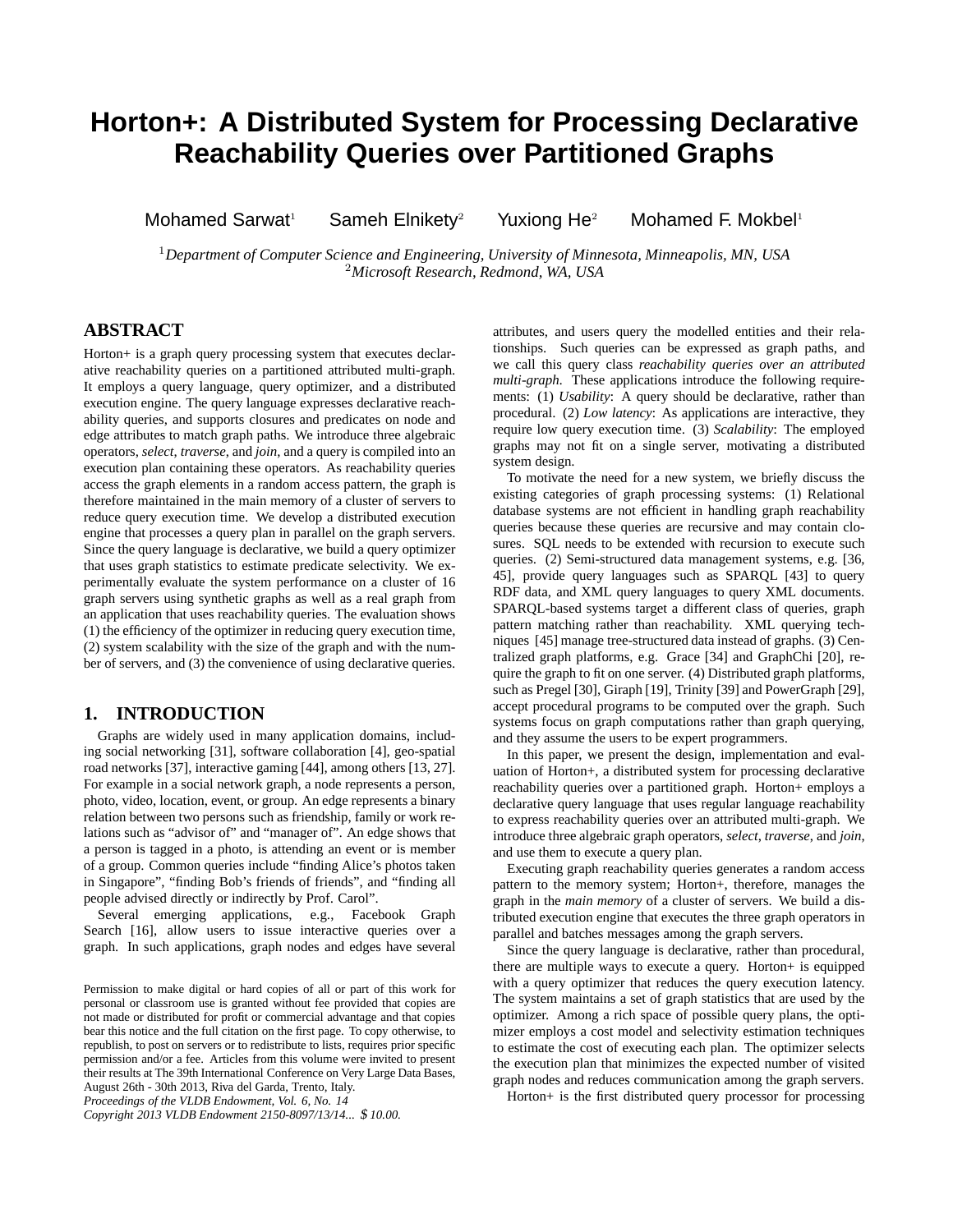# **Horton+: A Distributed System for Processing Declarative Reachability Queries over Partitioned Graphs**

Mohamed Sarwat<sup>1</sup> Sameh Elnikety<sup>2</sup> Yuxiong He<sup>2</sup> Mohamed F. Mokbel<sup>1</sup>

<sup>1</sup>*Department of Computer Science and Engineering, University of Minnesota, Minneapolis, MN, USA* <sup>2</sup>*Microsoft Research, Redmond, WA, USA*

# **ABSTRACT**

Horton+ is a graph query processing system that executes declarative reachability queries on a partitioned attributed multi-graph. It employs a query language, query optimizer, and a distributed execution engine. The query language expresses declarative reachability queries, and supports closures and predicates on node and edge attributes to match graph paths. We introduce three algebraic operators, *select*, *traverse*, and *join*, and a query is compiled into an execution plan containing these operators. As reachability queries access the graph elements in a random access pattern, the graph is therefore maintained in the main memory of a cluster of servers to reduce query execution time. We develop a distributed execution engine that processes a query plan in parallel on the graph servers. Since the query language is declarative, we build a query optimizer that uses graph statistics to estimate predicate selectivity. We experimentally evaluate the system performance on a cluster of 16 graph servers using synthetic graphs as well as a real graph from an application that uses reachability queries. The evaluation shows (1) the efficiency of the optimizer in reducing query execution time, (2) system scalability with the size of the graph and with the number of servers, and (3) the convenience of using declarative queries.

# **1. INTRODUCTION**

Graphs are widely used in many application domains, including social networking [31], software collaboration [4], geo-spatial road networks [37], interactive gaming [44], among others [13, 27]. For example in a social network graph, a node represents a person, photo, video, location, event, or group. An edge represents a binary relation between two persons such as friendship, family or work relations such as "advisor of" and "manager of". An edge shows that a person is tagged in a photo, is attending an event or is member of a group. Common queries include "finding Alice's photos taken in Singapore", "finding Bob's friends of friends", and "finding all people advised directly or indirectly by Prof. Carol".

Several emerging applications, e.g., Facebook Graph Search [16], allow users to issue interactive queries over a graph. In such applications, graph nodes and edges have several

*Proceedings of the VLDB Endowment, Vol. 6, No. 14*

*Copyright 2013 VLDB Endowment 2150-8097/13/14...* \$ *10.00.*

attributes, and users query the modelled entities and their relationships. Such queries can be expressed as graph paths, and we call this query class *reachability queries over an attributed multi-graph*. These applications introduce the following requirements: (1) *Usability*: A query should be declarative, rather than procedural. (2) *Low latency*: As applications are interactive, they require low query execution time. (3) *Scalability*: The employed graphs may not fit on a single server, motivating a distributed system design.

To motivate the need for a new system, we briefly discuss the existing categories of graph processing systems: (1) Relational database systems are not efficient in handling graph reachability queries because these queries are recursive and may contain closures. SQL needs to be extended with recursion to execute such queries. (2) Semi-structured data management systems, e.g. [36, 45], provide query languages such as SPARQL [43] to query RDF data, and XML query languages to query XML documents. SPARQL-based systems target a different class of queries, graph pattern matching rather than reachability. XML querying techniques [45] manage tree-structured data instead of graphs. (3) Centralized graph platforms, e.g. Grace [34] and GraphChi [20], require the graph to fit on one server. (4) Distributed graph platforms, such as Pregel [30], Giraph [19], Trinity [39] and PowerGraph [29], accept procedural programs to be computed over the graph. Such systems focus on graph computations rather than graph querying, and they assume the users to be expert programmers.

In this paper, we present the design, implementation and evaluation of Horton+, a distributed system for processing declarative reachability queries over a partitioned graph. Horton+ employs a declarative query language that uses regular language reachability to express reachability queries over an attributed multi-graph. We introduce three algebraic graph operators, *select*, *traverse*, and *join*, and use them to execute a query plan.

Executing graph reachability queries generates a random access pattern to the memory system; Horton+, therefore, manages the graph in the *main memory* of a cluster of servers. We build a distributed execution engine that executes the three graph operators in parallel and batches messages among the graph servers.

Since the query language is declarative, rather than procedural, there are multiple ways to execute a query. Horton+ is equipped with a query optimizer that reduces the query execution latency. The system maintains a set of graph statistics that are used by the optimizer. Among a rich space of possible query plans, the optimizer employs a cost model and selectivity estimation techniques to estimate the cost of executing each plan. The optimizer selects the execution plan that minimizes the expected number of visited graph nodes and reduces communication among the graph servers.

Horton+ is the first distributed query processor for processing

Permission to make digital or hard copies of all or part of this work for personal or classroom use is granted without fee provided that copies are not made or distributed for profit or commercial advantage and that copies bear this notice and the full citation on the first page. To copy otherwise, to republish, to post on servers or to redistribute to lists, requires prior specific permission and/or a fee. Articles from this volume were invited to present their results at The 39th International Conference on Very Large Data Bases, August 26th - 30th 2013, Riva del Garda, Trento, Italy.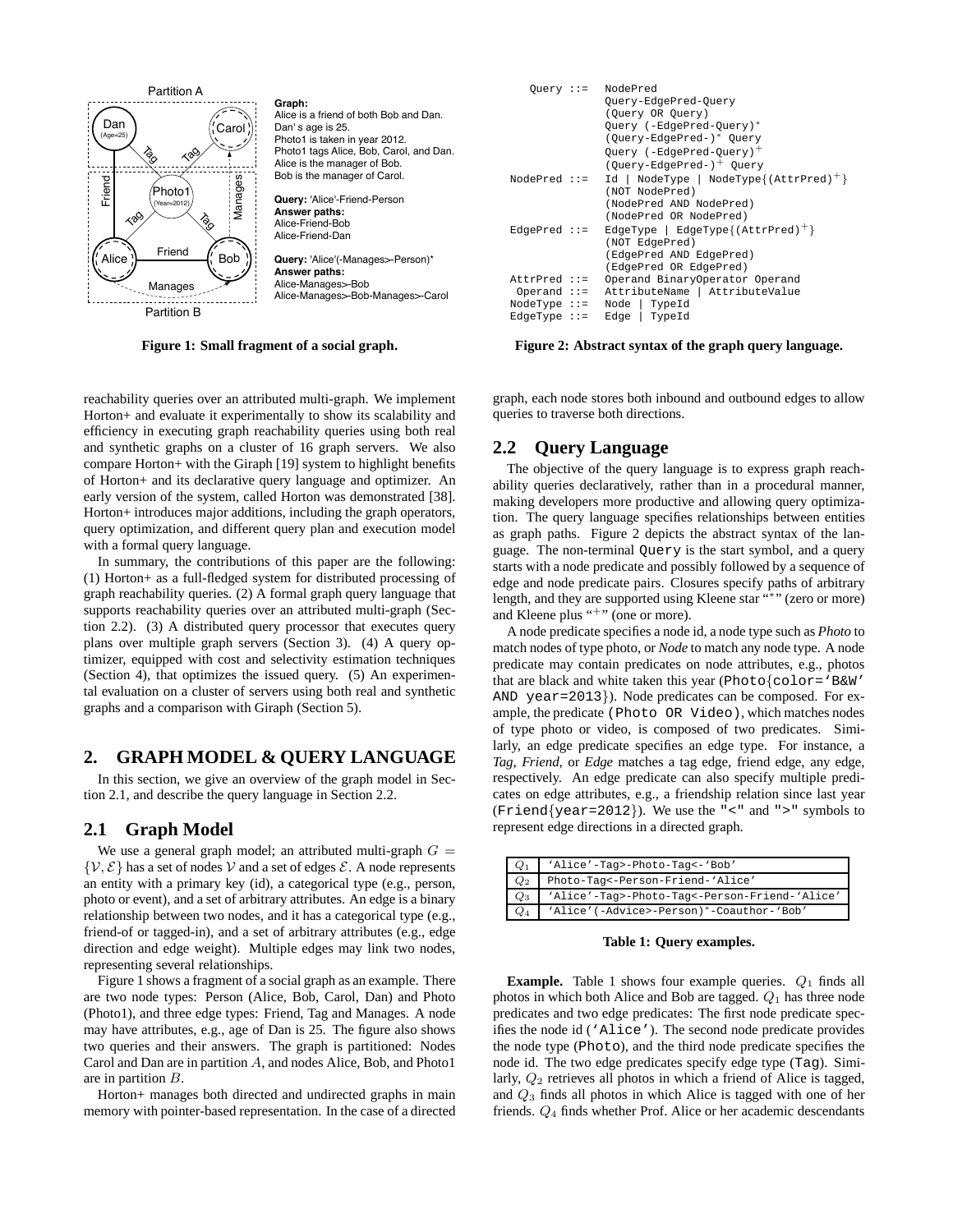

**Figure 1: Small fragment of a social graph.**

reachability queries over an attributed multi-graph. We implement Horton+ and evaluate it experimentally to show its scalability and efficiency in executing graph reachability queries using both real and synthetic graphs on a cluster of 16 graph servers. We also compare Horton+ with the Giraph [19] system to highlight benefits of Horton+ and its declarative query language and optimizer. An early version of the system, called Horton was demonstrated [38]. Horton+ introduces major additions, including the graph operators, query optimization, and different query plan and execution model with a formal query language.

In summary, the contributions of this paper are the following: (1) Horton+ as a full-fledged system for distributed processing of graph reachability queries. (2) A formal graph query language that supports reachability queries over an attributed multi-graph (Section 2.2). (3) A distributed query processor that executes query plans over multiple graph servers (Section 3). (4) A query optimizer, equipped with cost and selectivity estimation techniques (Section 4), that optimizes the issued query. (5) An experimental evaluation on a cluster of servers using both real and synthetic graphs and a comparison with Giraph (Section 5).

# **2. GRAPH MODEL & QUERY LANGUAGE**

In this section, we give an overview of the graph model in Section 2.1, and describe the query language in Section 2.2.

## **2.1 Graph Model**

We use a general graph model; an attributed multi-graph  $G =$  $\{V, E\}$  has a set of nodes V and a set of edges E. A node represents an entity with a primary key (id), a categorical type (e.g., person, photo or event), and a set of arbitrary attributes. An edge is a binary relationship between two nodes, and it has a categorical type (e.g., friend-of or tagged-in), and a set of arbitrary attributes (e.g., edge direction and edge weight). Multiple edges may link two nodes, representing several relationships.

Figure 1 shows a fragment of a social graph as an example. There are two node types: Person (Alice, Bob, Carol, Dan) and Photo (Photo1), and three edge types: Friend, Tag and Manages. A node may have attributes, e.g., age of Dan is 25. The figure also shows two queries and their answers. The graph is partitioned: Nodes Carol and Dan are in partition A, and nodes Alice, Bob, and Photo1 are in partition B.

Horton+ manages both directed and undirected graphs in main memory with pointer-based representation. In the case of a directed

|                 | Query::= NodePred                                    |  |  |  |  |
|-----------------|------------------------------------------------------|--|--|--|--|
|                 | Query-EdgePred-Query                                 |  |  |  |  |
|                 | (Ouery OR Ouery)                                     |  |  |  |  |
|                 | Ouery (-EdgePred-Ouery)*                             |  |  |  |  |
|                 | (Ouery-EdgePred-)* Ouery                             |  |  |  |  |
|                 | Query (-EdgePred-Query) <sup>+</sup>                 |  |  |  |  |
|                 | $(Query-EdgePred-)$ <sup>+</sup> Ouery               |  |  |  |  |
| NodePred ::=    | $Id$   NodeType   NodeType{(AttrPred) <sup>+</sup> } |  |  |  |  |
|                 | (NOT NodePred)                                       |  |  |  |  |
|                 | (NodePred AND NodePred)                              |  |  |  |  |
|                 | (NodePred OR NodePred)                               |  |  |  |  |
| $EdgePred :: =$ | EdgeType   EdgeType{(AttrPred) <sup>+</sup> }        |  |  |  |  |
|                 | (NOT EdgePred)                                       |  |  |  |  |
|                 | (EdgePred AND EdgePred)                              |  |  |  |  |
|                 | (EdgePred OR EdgePred)                               |  |  |  |  |
| AttrPred ::=    | Operand BinaryOperator Operand                       |  |  |  |  |
| Operand $::=$   | AttributeName   AttributeValue                       |  |  |  |  |
| NodeType ::=    | Node   TypeId                                        |  |  |  |  |
| $EdgeType :: =$ | $Edge$   TypeId                                      |  |  |  |  |

**Figure 2: Abstract syntax of the graph query language.**

graph, each node stores both inbound and outbound edges to allow queries to traverse both directions.

## **2.2 Query Language**

The objective of the query language is to express graph reachability queries declaratively, rather than in a procedural manner, making developers more productive and allowing query optimization. The query language specifies relationships between entities as graph paths. Figure 2 depicts the abstract syntax of the language. The non-terminal Query is the start symbol, and a query starts with a node predicate and possibly followed by a sequence of edge and node predicate pairs. Closures specify paths of arbitrary length, and they are supported using Kleene star "<sup>∗</sup>" (zero or more) and Kleene plus "<sup>+</sup>" (one or more).

A node predicate specifies a node id, a node type such as *Photo* to match nodes of type photo, or *Node* to match any node type. A node predicate may contain predicates on node attributes, e.g., photos that are black and white taken this year (Photo{color='B&W' AND year=2013}). Node predicates can be composed. For example, the predicate (Photo OR Video), which matches nodes of type photo or video, is composed of two predicates. Similarly, an edge predicate specifies an edge type. For instance, a *Tag*, *Friend*, or *Edge* matches a tag edge, friend edge, any edge, respectively. An edge predicate can also specify multiple predicates on edge attributes, e.g., a friendship relation since last year (Friend $\{year=2012\}$ ). We use the "<" and ">" symbols to represent edge directions in a directed graph.

| $\omega_1$ | 'Alice'-Tag>-Photo-Tag<-'Bob'                 |
|------------|-----------------------------------------------|
| Q,         | Photo-Tag<-Person-Friend-'Alice'              |
| $Q_3$      | 'Alice'-Tag>-Photo-Tag<-Person-Friend-'Alice' |
|            | 'Alice'(-Advice>-Person)*-Coauthor-'Bob'      |

**Table 1: Query examples.**

**Example.** Table 1 shows four example queries.  $Q_1$  finds all photos in which both Alice and Bob are tagged.  $Q_1$  has three node predicates and two edge predicates: The first node predicate specifies the node id ('Alice'). The second node predicate provides the node type (Photo), and the third node predicate specifies the node id. The two edge predicates specify edge type (Tag). Similarly, Q<sup>2</sup> retrieves all photos in which a friend of Alice is tagged, and Q<sup>3</sup> finds all photos in which Alice is tagged with one of her friends. Q<sup>4</sup> finds whether Prof. Alice or her academic descendants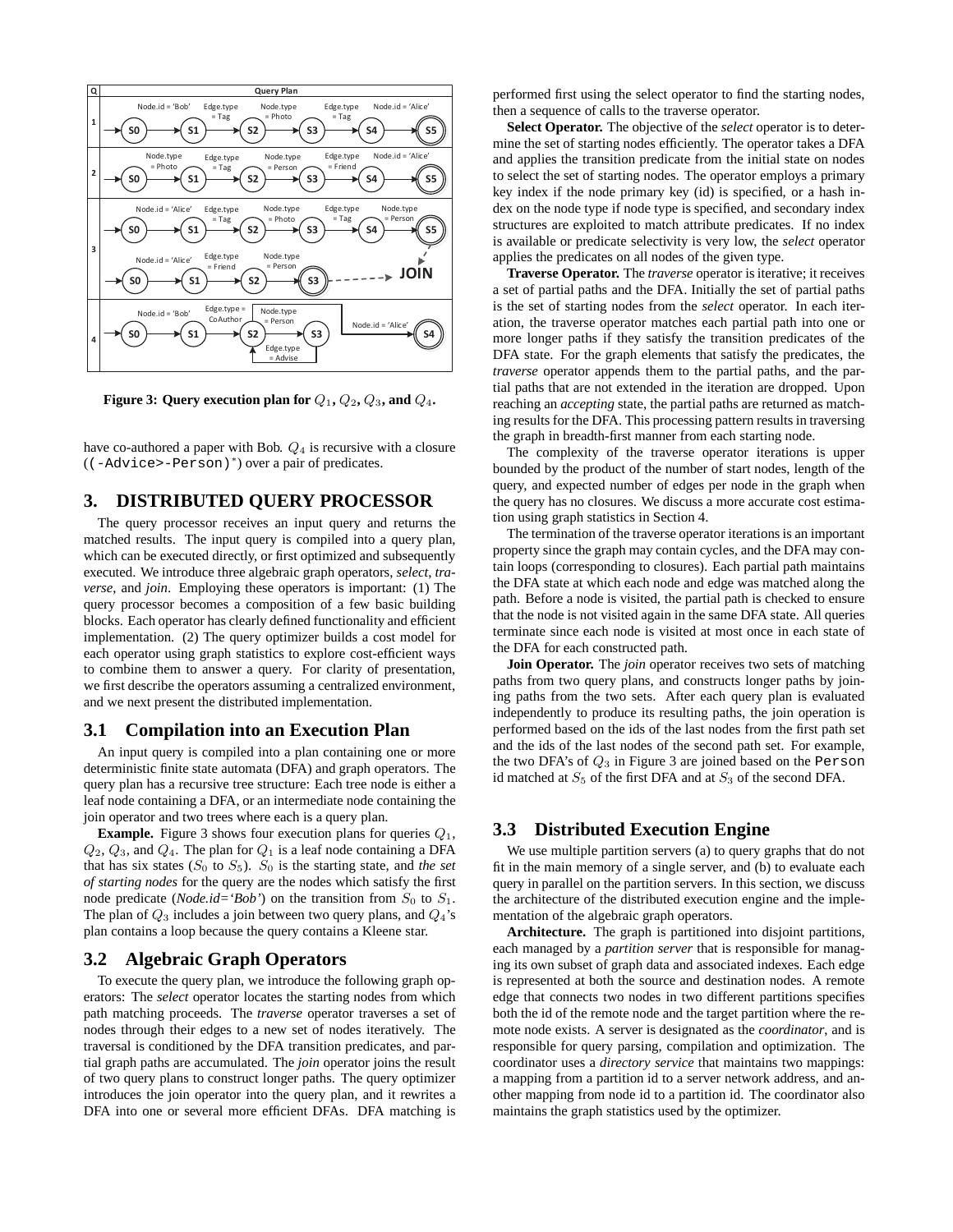

**Figure 3: Query execution plan for**  $Q_1$ ,  $Q_2$ ,  $Q_3$ , and  $Q_4$ .

have co-authored a paper with Bob.  $Q_4$  is recursive with a closure ((-Advice>-Person)<sup>∗</sup> ) over a pair of predicates.

### **3. DISTRIBUTED QUERY PROCESSOR**

The query processor receives an input query and returns the matched results. The input query is compiled into a query plan, which can be executed directly, or first optimized and subsequently executed. We introduce three algebraic graph operators, *select*, *traverse*, and *join*. Employing these operators is important: (1) The query processor becomes a composition of a few basic building blocks. Each operator has clearly defined functionality and efficient implementation. (2) The query optimizer builds a cost model for each operator using graph statistics to explore cost-efficient ways to combine them to answer a query. For clarity of presentation, we first describe the operators assuming a centralized environment, and we next present the distributed implementation.

#### **3.1 Compilation into an Execution Plan**

An input query is compiled into a plan containing one or more deterministic finite state automata (DFA) and graph operators. The query plan has a recursive tree structure: Each tree node is either a leaf node containing a DFA, or an intermediate node containing the join operator and two trees where each is a query plan.

**Example.** Figure 3 shows four execution plans for queries  $Q_1$ ,  $Q_2$ ,  $Q_3$ , and  $Q_4$ . The plan for  $Q_1$  is a leaf node containing a DFA that has six states  $(S_0 \text{ to } S_5)$ .  $S_0$  is the starting state, and *the set of starting nodes* for the query are the nodes which satisfy the first node predicate (*Node.id*=' $Bob'$ ) on the transition from  $S_0$  to  $S_1$ . The plan of  $Q_3$  includes a join between two query plans, and  $Q_4$ 's plan contains a loop because the query contains a Kleene star.

## **3.2 Algebraic Graph Operators**

To execute the query plan, we introduce the following graph operators: The *select* operator locates the starting nodes from which path matching proceeds. The *traverse* operator traverses a set of nodes through their edges to a new set of nodes iteratively. The traversal is conditioned by the DFA transition predicates, and partial graph paths are accumulated. The *join* operator joins the result of two query plans to construct longer paths. The query optimizer introduces the join operator into the query plan, and it rewrites a DFA into one or several more efficient DFAs. DFA matching is

performed first using the select operator to find the starting nodes, then a sequence of calls to the traverse operator.

**Select Operator.** The objective of the *select* operator is to determine the set of starting nodes efficiently. The operator takes a DFA and applies the transition predicate from the initial state on nodes to select the set of starting nodes. The operator employs a primary key index if the node primary key (id) is specified, or a hash index on the node type if node type is specified, and secondary index structures are exploited to match attribute predicates. If no index is available or predicate selectivity is very low, the *select* operator applies the predicates on all nodes of the given type.

**Traverse Operator.** The *traverse* operator is iterative; it receives a set of partial paths and the DFA. Initially the set of partial paths is the set of starting nodes from the *select* operator. In each iteration, the traverse operator matches each partial path into one or more longer paths if they satisfy the transition predicates of the DFA state. For the graph elements that satisfy the predicates, the *traverse* operator appends them to the partial paths, and the partial paths that are not extended in the iteration are dropped. Upon reaching an *accepting* state, the partial paths are returned as matching results for the DFA. This processing pattern results in traversing the graph in breadth-first manner from each starting node.

The complexity of the traverse operator iterations is upper bounded by the product of the number of start nodes, length of the query, and expected number of edges per node in the graph when the query has no closures. We discuss a more accurate cost estimation using graph statistics in Section 4.

The termination of the traverse operator iterations is an important property since the graph may contain cycles, and the DFA may contain loops (corresponding to closures). Each partial path maintains the DFA state at which each node and edge was matched along the path. Before a node is visited, the partial path is checked to ensure that the node is not visited again in the same DFA state. All queries terminate since each node is visited at most once in each state of the DFA for each constructed path.

**Join Operator.** The *join* operator receives two sets of matching paths from two query plans, and constructs longer paths by joining paths from the two sets. After each query plan is evaluated independently to produce its resulting paths, the join operation is performed based on the ids of the last nodes from the first path set and the ids of the last nodes of the second path set. For example, the two DFA's of  $Q_3$  in Figure 3 are joined based on the Person id matched at  $S_5$  of the first DFA and at  $S_3$  of the second DFA.

## **3.3 Distributed Execution Engine**

We use multiple partition servers (a) to query graphs that do not fit in the main memory of a single server, and (b) to evaluate each query in parallel on the partition servers. In this section, we discuss the architecture of the distributed execution engine and the implementation of the algebraic graph operators.

**Architecture.** The graph is partitioned into disjoint partitions, each managed by a *partition server* that is responsible for managing its own subset of graph data and associated indexes. Each edge is represented at both the source and destination nodes. A remote edge that connects two nodes in two different partitions specifies both the id of the remote node and the target partition where the remote node exists. A server is designated as the *coordinator*, and is responsible for query parsing, compilation and optimization. The coordinator uses a *directory service* that maintains two mappings: a mapping from a partition id to a server network address, and another mapping from node id to a partition id. The coordinator also maintains the graph statistics used by the optimizer.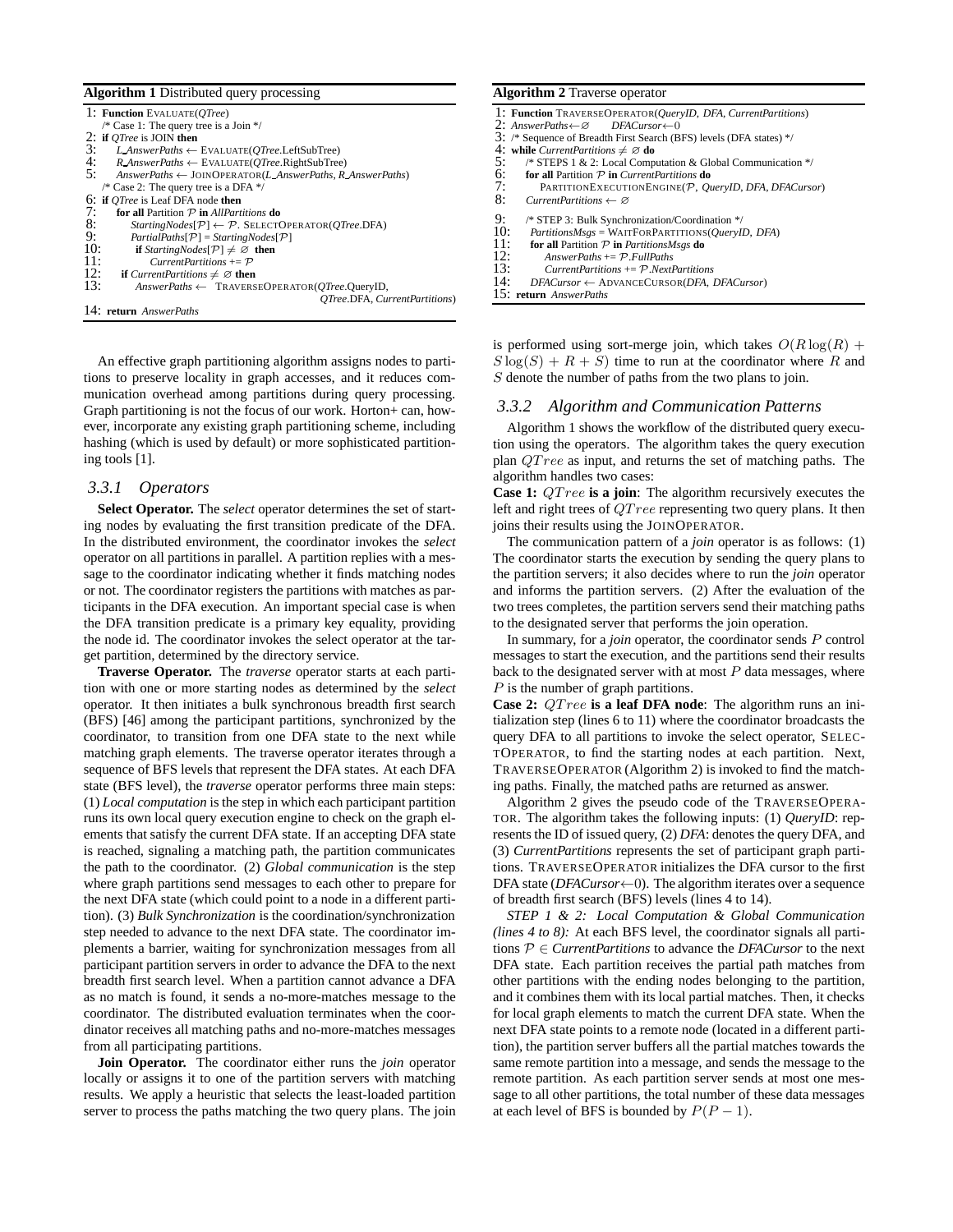#### **Algorithm 1** Distributed query processing

| 1: Function EVALUATE(OTree)                                                                    |
|------------------------------------------------------------------------------------------------|
| /* Case 1: The query tree is a Join $\frac{*}{ }$                                              |
| 2: if <i>OTree</i> is JOIN then                                                                |
| 3:<br>$L$ AnswerPaths $\leftarrow$ EVALUATE( <i>QTree</i> .LeftSubTree)                        |
| 4:<br>$R$ AnswerPaths $\leftarrow$ EVALUATE(OTree.RightSubTree)                                |
| 5:<br>$AnswerPaths \leftarrow JoinOPERATOR(L. AnswerPaths, R. AnswerPaths)$                    |
| /* Case 2: The query tree is a DFA $\frac{*}{ }$                                               |
| 6: if <i>OTree</i> is Leaf DFA node then                                                       |
| 7:<br>for all Partition $P$ in AllPartitions do                                                |
| 8:<br>$StartingNodes[\mathcal{P}] \leftarrow \mathcal{P}$ . SELECTOPERATOR( <i>OTree</i> .DFA) |
| 9:<br>$PartialPaths[\mathcal{P}] = StartingNodes[\mathcal{P}]$                                 |
| 10:<br><b>if</b> StartingNodes $[\mathcal{P}] \neq \emptyset$ then                             |
| 11:<br>$CurrentPartitions += \mathcal{P}$                                                      |
| 12:<br><b>if</b> CurrentPartitions $\neq \emptyset$ then                                       |
| 13:<br>$AnswerPaths \leftarrow$ TRAVERSEOPERATOR(OTree.QueryID,                                |
| OTree.DFA, CurrentPartitions)                                                                  |
| 14: return AnswerPaths                                                                         |

An effective graph partitioning algorithm assigns nodes to partitions to preserve locality in graph accesses, and it reduces communication overhead among partitions during query processing. Graph partitioning is not the focus of our work. Horton+ can, however, incorporate any existing graph partitioning scheme, including hashing (which is used by default) or more sophisticated partitioning tools [1].

#### *3.3.1 Operators*

**Select Operator.** The *select* operator determines the set of starting nodes by evaluating the first transition predicate of the DFA. In the distributed environment, the coordinator invokes the *select* operator on all partitions in parallel. A partition replies with a message to the coordinator indicating whether it finds matching nodes or not. The coordinator registers the partitions with matches as participants in the DFA execution. An important special case is when the DFA transition predicate is a primary key equality, providing the node id. The coordinator invokes the select operator at the target partition, determined by the directory service.

**Traverse Operator.** The *traverse* operator starts at each partition with one or more starting nodes as determined by the *select* operator. It then initiates a bulk synchronous breadth first search (BFS) [46] among the participant partitions, synchronized by the coordinator, to transition from one DFA state to the next while matching graph elements. The traverse operator iterates through a sequence of BFS levels that represent the DFA states. At each DFA state (BFS level), the *traverse* operator performs three main steps: (1) *Local computation* is the step in which each participant partition runs its own local query execution engine to check on the graph elements that satisfy the current DFA state. If an accepting DFA state is reached, signaling a matching path, the partition communicates the path to the coordinator. (2) *Global communication* is the step where graph partitions send messages to each other to prepare for the next DFA state (which could point to a node in a different partition). (3) *Bulk Synchronization* is the coordination/synchronization step needed to advance to the next DFA state. The coordinator implements a barrier, waiting for synchronization messages from all participant partition servers in order to advance the DFA to the next breadth first search level. When a partition cannot advance a DFA as no match is found, it sends a no-more-matches message to the coordinator. The distributed evaluation terminates when the coordinator receives all matching paths and no-more-matches messages from all participating partitions.

**Join Operator.** The coordinator either runs the *join* operator locally or assigns it to one of the partition servers with matching results. We apply a heuristic that selects the least-loaded partition server to process the paths matching the two query plans. The join

#### **Algorithm 2** Traverse operator

| 1: Function TRAVERSEOPERATOR(QueryID, DFA, CurrentPartitions)<br>2: AnswerPaths $\leftarrow \emptyset$ DFACursor $\leftarrow 0$ |  |  |  |  |
|---------------------------------------------------------------------------------------------------------------------------------|--|--|--|--|
| 3: /* Sequence of Breadth First Search (BFS) levels (DFA states) */                                                             |  |  |  |  |
| 4: while <i>CurrentPartitions</i> $\neq \emptyset$ do                                                                           |  |  |  |  |
| 5:<br>/* STEPS 1 & 2: Local Computation & Global Communication $*/$                                                             |  |  |  |  |
| 6:<br>for all Partition $P$ in <i>CurrentPartitions</i> do                                                                      |  |  |  |  |
| 7:<br>PARTITIONEXECUTIONENGINE(P, QueryID, DFA, DFACursor)                                                                      |  |  |  |  |
| 8:<br>$CurrentPartitions \leftarrow \emptyset$                                                                                  |  |  |  |  |
| 9:<br>/* STEP 3: Bulk Synchronization/Coordination */                                                                           |  |  |  |  |
| 10:<br>$Partitions Msgs = WAITFORPARTITIONS(QueryID, DFA)$                                                                      |  |  |  |  |
| 11:<br>for all Partition $P$ in PartitionsMsgs do                                                                               |  |  |  |  |
| 12:<br>AnswerPaths $\equiv \mathcal{P}.FullPaths$                                                                               |  |  |  |  |
|                                                                                                                                 |  |  |  |  |

- 13: *CurrentPartitions* += P.*NextPartitions*
- 14: *DFACursor* ← ADVANCECURSOR(*DFA*, *DFACursor*)
- 15: **return** *AnswerPaths*

is performed using sort-merge join, which takes  $O(R \log(R) +$  $S \log(S) + R + S$  time to run at the coordinator where R and S denote the number of paths from the two plans to join.

#### *3.3.2 Algorithm and Communication Patterns*

Algorithm 1 shows the workflow of the distributed query execution using the operators. The algorithm takes the query execution plan QT ree as input, and returns the set of matching paths. The algorithm handles two cases:

**Case 1:** QT ree **is a join**: The algorithm recursively executes the left and right trees of *QT ree* representing two query plans. It then joins their results using the JOINOPERATOR.

The communication pattern of a *join* operator is as follows: (1) The coordinator starts the execution by sending the query plans to the partition servers; it also decides where to run the *join* operator and informs the partition servers. (2) After the evaluation of the two trees completes, the partition servers send their matching paths to the designated server that performs the join operation.

In summary, for a *join* operator, the coordinator sends P control messages to start the execution, and the partitions send their results back to the designated server with at most  $P$  data messages, where P is the number of graph partitions.

**Case 2:** QT ree **is a leaf DFA node**: The algorithm runs an initialization step (lines 6 to 11) where the coordinator broadcasts the query DFA to all partitions to invoke the select operator, SELEC-TOPERATOR, to find the starting nodes at each partition. Next, TRAVERSEOPERATOR (Algorithm 2) is invoked to find the matching paths. Finally, the matched paths are returned as answer.

Algorithm 2 gives the pseudo code of the TRAVERSEOPERA-TOR. The algorithm takes the following inputs: (1) *QueryID*: represents the ID of issued query, (2) *DFA*: denotes the query DFA, and (3) *CurrentPartitions* represents the set of participant graph partitions. TRAVERSEOPERATOR initializes the DFA cursor to the first DFA state (*DFACursor*←0). The algorithm iterates over a sequence of breadth first search (BFS) levels (lines 4 to 14).

*STEP 1 & 2: Local Computation & Global Communication (lines 4 to 8):* At each BFS level, the coordinator signals all partitions P ∈ *CurrentPartitions* to advance the *DFACursor* to the next DFA state. Each partition receives the partial path matches from other partitions with the ending nodes belonging to the partition, and it combines them with its local partial matches. Then, it checks for local graph elements to match the current DFA state. When the next DFA state points to a remote node (located in a different partition), the partition server buffers all the partial matches towards the same remote partition into a message, and sends the message to the remote partition. As each partition server sends at most one message to all other partitions, the total number of these data messages at each level of BFS is bounded by  $P(P - 1)$ .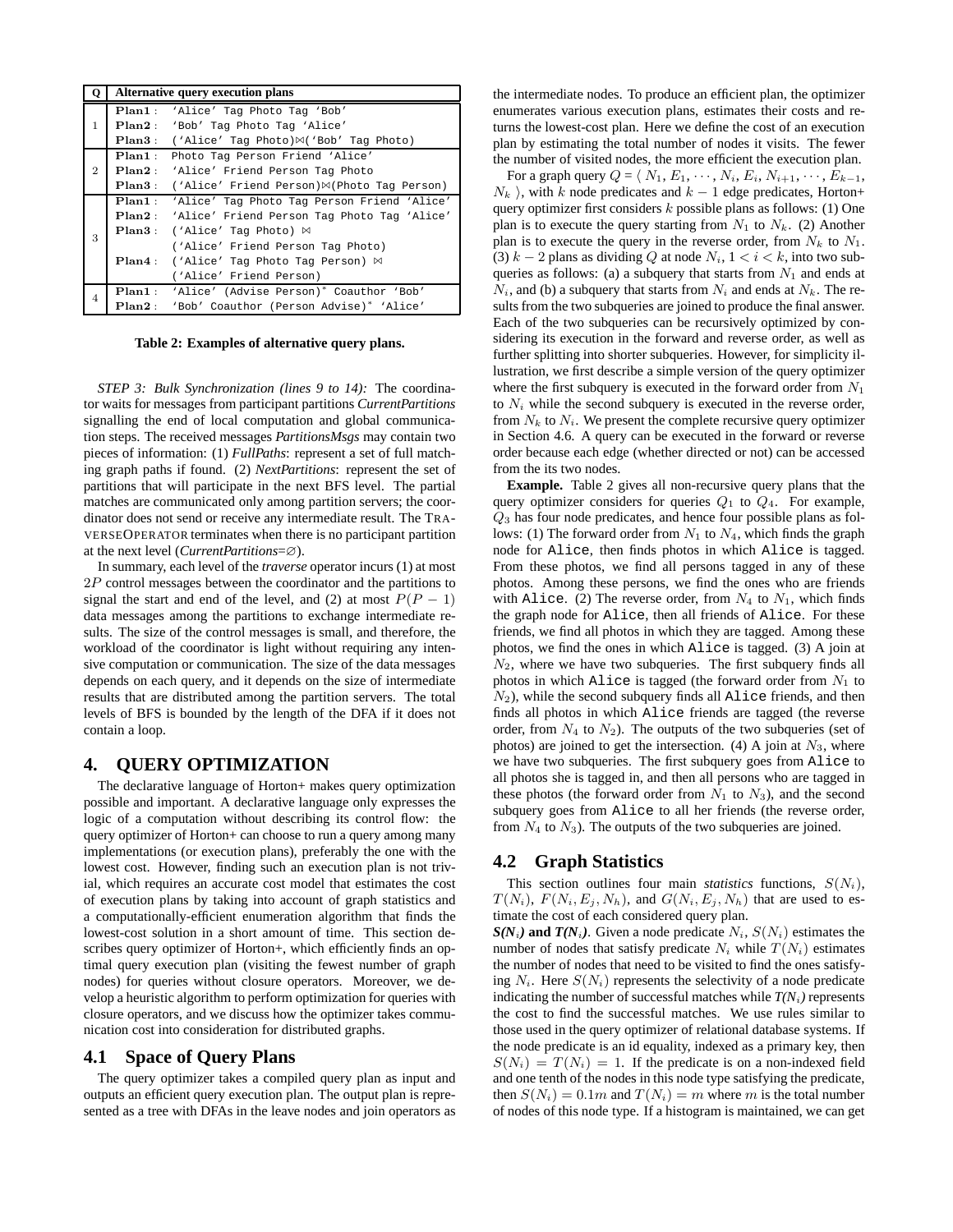|                | Alternative query execution plans |                                                                     |  |  |
|----------------|-----------------------------------|---------------------------------------------------------------------|--|--|
| 1.             |                                   | Plan1: 'Alice' Tag Photo Tag 'Bob'                                  |  |  |
|                |                                   | Plan2: 'Bob' Tag Photo Tag 'Alice'                                  |  |  |
|                |                                   | Plan3: ('Alice' Tag Photo) $M('Bob' Tag Photo)$                     |  |  |
|                |                                   | Plan1: Photo Tag Person Friend 'Alice'                              |  |  |
| $\overline{2}$ |                                   | Plan2: 'Alice' Friend Person Tag Photo                              |  |  |
|                |                                   | <b>Plan3</b> : ('Alice' Friend Person) $\bowtie$ (Photo Tag Person) |  |  |
| 3              |                                   | Plan1: 'Alice' Tag Photo Tag Person Friend 'Alice'                  |  |  |
|                |                                   | Plan2: 'Alice' Friend Person Tag Photo Tag 'Alice'                  |  |  |
|                |                                   | <b>Plan3</b> : ('Alice' Tag Photo) $\bowtie$                        |  |  |
|                |                                   | ('Alice' Friend Person Tag Photo)                                   |  |  |
|                |                                   | <b>Plan4:</b> ('Alice' Tag Photo Tag Person) $\bowtie$              |  |  |
|                |                                   | ('Alice' Friend Person)                                             |  |  |
| 4              |                                   | Plan1: 'Alice' (Advise Person)* Coauthor 'Bob'                      |  |  |
|                |                                   | Plan2: 'Bob' Coauthor (Person Advise)* 'Alice'                      |  |  |

**Table 2: Examples of alternative query plans.**

*STEP 3: Bulk Synchronization (lines 9 to 14):* The coordinator waits for messages from participant partitions *CurrentPartitions* signalling the end of local computation and global communication steps. The received messages *PartitionsMsgs* may contain two pieces of information: (1) *FullPaths*: represent a set of full matching graph paths if found. (2) *NextPartitions*: represent the set of partitions that will participate in the next BFS level. The partial matches are communicated only among partition servers; the coordinator does not send or receive any intermediate result. The TRA-VERSEOPERATOR terminates when there is no participant partition at the next level (*CurrentPartitions*=∅).

In summary, each level of the *traverse* operator incurs (1) at most 2P control messages between the coordinator and the partitions to signal the start and end of the level, and (2) at most  $P(P - 1)$ data messages among the partitions to exchange intermediate results. The size of the control messages is small, and therefore, the workload of the coordinator is light without requiring any intensive computation or communication. The size of the data messages depends on each query, and it depends on the size of intermediate results that are distributed among the partition servers. The total levels of BFS is bounded by the length of the DFA if it does not contain a loop.

# **4. QUERY OPTIMIZATION**

The declarative language of Horton+ makes query optimization possible and important. A declarative language only expresses the logic of a computation without describing its control flow: the query optimizer of Horton+ can choose to run a query among many implementations (or execution plans), preferably the one with the lowest cost. However, finding such an execution plan is not trivial, which requires an accurate cost model that estimates the cost of execution plans by taking into account of graph statistics and a computationally-efficient enumeration algorithm that finds the lowest-cost solution in a short amount of time. This section describes query optimizer of Horton+, which efficiently finds an optimal query execution plan (visiting the fewest number of graph nodes) for queries without closure operators. Moreover, we develop a heuristic algorithm to perform optimization for queries with closure operators, and we discuss how the optimizer takes communication cost into consideration for distributed graphs.

# **4.1 Space of Query Plans**

The query optimizer takes a compiled query plan as input and outputs an efficient query execution plan. The output plan is represented as a tree with DFAs in the leave nodes and join operators as

the intermediate nodes. To produce an efficient plan, the optimizer enumerates various execution plans, estimates their costs and returns the lowest-cost plan. Here we define the cost of an execution plan by estimating the total number of nodes it visits. The fewer the number of visited nodes, the more efficient the execution plan.

For a graph query  $Q = \langle N_1, E_1, \cdots, N_i, E_i, N_{i+1}, \cdots, E_{k-1}, \rangle$  $N_k$ ), with k node predicates and  $k - 1$  edge predicates, Horton+ query optimizer first considers  $k$  possible plans as follows: (1) One plan is to execute the query starting from  $N_1$  to  $N_k$ . (2) Another plan is to execute the query in the reverse order, from  $N_k$  to  $N_1$ . (3) k − 2 plans as dividing Q at node  $N_i$ ,  $1 < i < k$ , into two subqueries as follows: (a) a subquery that starts from  $N_1$  and ends at  $N_i$ , and (b) a subquery that starts from  $N_i$  and ends at  $N_k$ . The results from the two subqueries are joined to produce the final answer. Each of the two subqueries can be recursively optimized by considering its execution in the forward and reverse order, as well as further splitting into shorter subqueries. However, for simplicity illustration, we first describe a simple version of the query optimizer where the first subquery is executed in the forward order from  $N_1$ to  $N_i$  while the second subquery is executed in the reverse order, from  $N_k$  to  $N_i$ . We present the complete recursive query optimizer in Section 4.6. A query can be executed in the forward or reverse order because each edge (whether directed or not) can be accessed from the its two nodes.

**Example.** Table 2 gives all non-recursive query plans that the query optimizer considers for queries  $Q_1$  to  $Q_4$ . For example,  $Q_3$  has four node predicates, and hence four possible plans as follows: (1) The forward order from  $N_1$  to  $N_4$ , which finds the graph node for Alice, then finds photos in which Alice is tagged. From these photos, we find all persons tagged in any of these photos. Among these persons, we find the ones who are friends with Alice. (2) The reverse order, from  $N_4$  to  $N_1$ , which finds the graph node for Alice, then all friends of Alice. For these friends, we find all photos in which they are tagged. Among these photos, we find the ones in which Alice is tagged. (3) A join at  $N_2$ , where we have two subqueries. The first subquery finds all photos in which Alice is tagged (the forward order from  $N_1$  to  $N_2$ ), while the second subquery finds all Alice friends, and then finds all photos in which Alice friends are tagged (the reverse order, from  $N_4$  to  $N_2$ ). The outputs of the two subqueries (set of photos) are joined to get the intersection. (4) A join at  $N_3$ , where we have two subqueries. The first subquery goes from Alice to all photos she is tagged in, and then all persons who are tagged in these photos (the forward order from  $N_1$  to  $N_3$ ), and the second subquery goes from Alice to all her friends (the reverse order, from  $N_4$  to  $N_3$ ). The outputs of the two subqueries are joined.

# **4.2 Graph Statistics**

This section outlines four main *statistics* functions,  $S(N_i)$ ,  $T(N_i)$ ,  $F(N_i, E_j, N_h)$ , and  $G(N_i, E_j, N_h)$  that are used to estimate the cost of each considered query plan.

 $S(N_i)$  and  $T(N_i)$ . Given a node predicate  $N_i$ ,  $S(N_i)$  estimates the number of nodes that satisfy predicate  $N_i$  while  $T(N_i)$  estimates the number of nodes that need to be visited to find the ones satisfying  $N_i$ . Here  $S(N_i)$  represents the selectivity of a node predicate indicating the number of successful matches while  $T(N_i)$  represents the cost to find the successful matches. We use rules similar to those used in the query optimizer of relational database systems. If the node predicate is an id equality, indexed as a primary key, then  $S(N_i) = T(N_i) = 1$ . If the predicate is on a non-indexed field and one tenth of the nodes in this node type satisfying the predicate, then  $S(N_i) = 0.1m$  and  $T(N_i) = m$  where m is the total number of nodes of this node type. If a histogram is maintained, we can get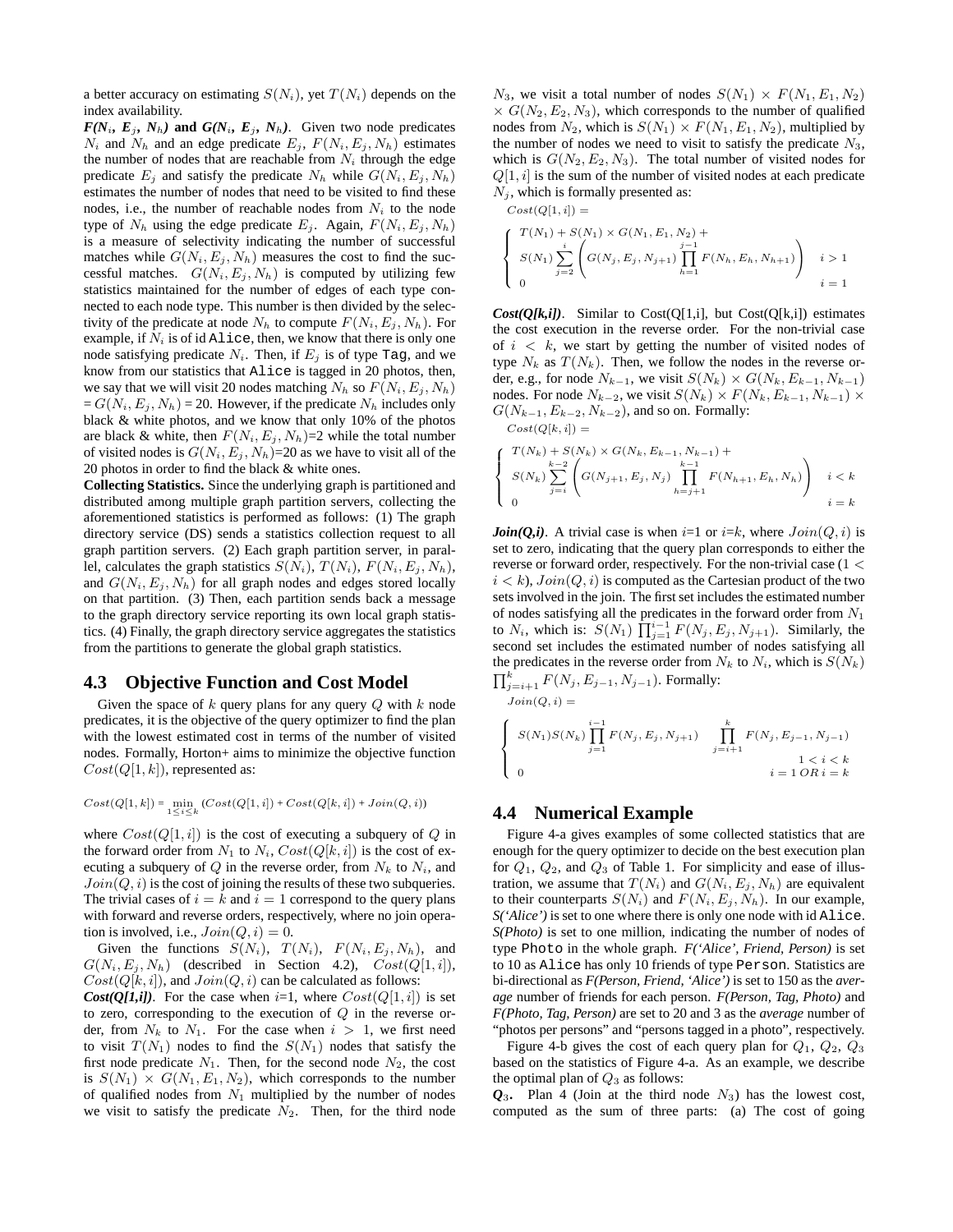a better accuracy on estimating  $S(N_i)$ , yet  $T(N_i)$  depends on the index availability.

 $F(N_i, E_j, N_h)$  and  $G(N_i, E_j, N_h)$ . Given two node predicates  $N_i$  and  $N_h$  and an edge predicate  $E_j$ ,  $F(N_i, E_j, N_h)$  estimates the number of nodes that are reachable from  $N_i$  through the edge predicate  $E_i$  and satisfy the predicate  $N_h$  while  $G(N_i, E_i, N_h)$ estimates the number of nodes that need to be visited to find these nodes, i.e., the number of reachable nodes from  $N_i$  to the node type of  $N_h$  using the edge predicate  $E_i$ . Again,  $F(N_i, E_i, N_h)$ is a measure of selectivity indicating the number of successful matches while  $G(N_i, E_j, N_h)$  measures the cost to find the successful matches.  $G(N_i, E_j, N_h)$  is computed by utilizing few statistics maintained for the number of edges of each type connected to each node type. This number is then divided by the selectivity of the predicate at node  $N_h$  to compute  $F(N_i, E_i, N_h)$ . For example, if  $N_i$  is of id Alice, then, we know that there is only one node satisfying predicate  $N_i$ . Then, if  $E_j$  is of type Tag, and we know from our statistics that Alice is tagged in 20 photos, then, we say that we will visit 20 nodes matching  $N_h$  so  $F(N_i, E_j, N_h)$  $= G(N_i, E_i, N_h) = 20$ . However, if the predicate  $N_h$  includes only black & white photos, and we know that only 10% of the photos are black & white, then  $F(N_i, E_j, N_h)=2$  while the total number of visited nodes is  $G(N_i, E_j, N_h)$ =20 as we have to visit all of the 20 photos in order to find the black & white ones.

**Collecting Statistics.** Since the underlying graph is partitioned and distributed among multiple graph partition servers, collecting the aforementioned statistics is performed as follows: (1) The graph directory service (DS) sends a statistics collection request to all graph partition servers. (2) Each graph partition server, in parallel, calculates the graph statistics  $S(N_i)$ ,  $T(N_i)$ ,  $F(N_i, E_i, N_h)$ , and  $G(N_i, E_j, N_h)$  for all graph nodes and edges stored locally on that partition. (3) Then, each partition sends back a message to the graph directory service reporting its own local graph statistics. (4) Finally, the graph directory service aggregates the statistics from the partitions to generate the global graph statistics.

### **4.3 Objective Function and Cost Model**

Given the space of  $k$  query plans for any query  $Q$  with  $k$  node predicates, it is the objective of the query optimizer to find the plan with the lowest estimated cost in terms of the number of visited nodes. Formally, Horton+ aims to minimize the objective function  $Cost(Q[1, k])$ , represented as:

$$
Cost(Q[1, k]) = \min_{1 \leq i \leq k} (Cost(Q[1, i]) + Cost(Q[k, i]) + Join(Q, i))
$$

where  $Cost(Q[1, i])$  is the cost of executing a subquery of Q in the forward order from  $N_1$  to  $N_i$ ,  $Cost(Q[k, i])$  is the cost of executing a subquery of  $Q$  in the reverse order, from  $N_k$  to  $N_i$ , and  $Join(Q, i)$  is the cost of joining the results of these two subqueries. The trivial cases of  $i = k$  and  $i = 1$  correspond to the query plans with forward and reverse orders, respectively, where no join operation is involved, i.e.,  $Join(Q, i) = 0$ .

Given the functions  $S(N_i)$ ,  $T(N_i)$ ,  $F(N_i, E_j, N_h)$ , and  $G(N_i, E_i, N_h)$  (described in Section 4.2),  $Cost(Q[1, i]),$  $Cost(Q[k, i])$ , and  $Join(Q, i)$  can be calculated as follows:

**Cost(Q[1,i])**. For the case when  $i=1$ , where  $Cost(Q[1, i])$  is set to zero, corresponding to the execution of  $Q$  in the reverse order, from  $N_k$  to  $N_1$ . For the case when  $i > 1$ , we first need to visit  $T(N_1)$  nodes to find the  $S(N_1)$  nodes that satisfy the first node predicate  $N_1$ . Then, for the second node  $N_2$ , the cost is  $S(N_1) \times G(N_1, E_1, N_2)$ , which corresponds to the number of qualified nodes from  $N_1$  multiplied by the number of nodes we visit to satisfy the predicate  $N_2$ . Then, for the third node

 $N_3$ , we visit a total number of nodes  $S(N_1) \times F(N_1, E_1, N_2)$  $\times G(N_2, E_2, N_3)$ , which corresponds to the number of qualified nodes from  $N_2$ , which is  $S(N_1) \times F(N_1, E_1, N_2)$ , multiplied by the number of nodes we need to visit to satisfy the predicate  $N_3$ , which is  $G(N_2, E_2, N_3)$ . The total number of visited nodes for  $Q[1, i]$  is the sum of the number of visited nodes at each predicate  $N_j$ , which is formally presented as:

 $Cost(Q[1, i]) =$ 

$$
\begin{cases}\nT(N_1) + S(N_1) \times G(N_1, E_1, N_2) + \\
S(N_1) \sum_{j=2}^{i} \left( G(N_j, E_j, N_{j+1}) \prod_{h=1}^{j-1} F(N_h, E_h, N_{h+1}) \right) & i > 1 \\
0 & i = 1\n\end{cases}
$$

 $Cost(O[k,i])$ . Similar to  $Cost(O[1,i])$ , but  $Cost(O[k,i])$  estimates the cost execution in the reverse order. For the non-trivial case of  $i \leq k$ , we start by getting the number of visited nodes of type  $N_k$  as  $T(N_k)$ . Then, we follow the nodes in the reverse order, e.g., for node  $N_{k-1}$ , we visit  $S(N_k) \times G(N_k, E_{k-1}, N_{k-1})$ nodes. For node  $N_{k-2}$ , we visit  $S(N_k) \times F(N_k, E_{k-1}, N_{k-1}) \times$  $G(N_{k-1}, E_{k-2}, N_{k-2})$ , and so on. Formally:

 $Cost(Q[k, i]) =$ 

$$
\left\{\begin{array}{l} T(N_k) + S(N_k) \times G(N_k, E_{k-1}, N_{k-1}) + \\ S(N_k) \sum_{j=i}^{k-2} \left( G(N_{j+1}, E_j, N_j) \prod_{h=j+1}^{k-1} F(N_{h+1}, E_h, N_h) \right) \quad i < k \\ 0 \qquad \qquad i = k \end{array}\right.
$$

*Join(Q,i)*. A trivial case is when  $i=1$  or  $i=k$ , where  $Join(Q, i)$  is set to zero, indicating that the query plan corresponds to either the reverse or forward order, respectively. For the non-trivial case (1 <  $i < k$ ),  $Join(Q, i)$  is computed as the Cartesian product of the two sets involved in the join. The first set includes the estimated number of nodes satisfying all the predicates in the forward order from  $N_1$ to  $N_i$ , which is:  $S(N_1)$   $\prod_{j=1}^{i-1} F(N_j, E_j, N_{j+1})$ . Similarly, the second set includes the estimated number of nodes satisfying all the predicates in the reverse order from  $N_k$  to  $N_i$ , which is  $S(N_k)$  $\prod_{j=i+1}^{k} F(N_j, E_{j-1}, N_{j-1})$ . Formally:

 $Join(Q, i) =$ 

$$
\begin{cases}\nS(N_1)S(N_k)\prod_{j=1}^{i-1}F(N_j, E_j, N_{j+1}) & \prod_{j=i+1}^{k}F(N_j, E_{j-1}, N_{j-1}) \\
0 & i = 1 \text{ OR } i = k\n\end{cases}
$$

## **4.4 Numerical Example**

Figure 4-a gives examples of some collected statistics that are enough for the query optimizer to decide on the best execution plan for  $Q_1$ ,  $Q_2$ , and  $Q_3$  of Table 1. For simplicity and ease of illustration, we assume that  $T(N_i)$  and  $G(N_i, E_j, N_h)$  are equivalent to their counterparts  $S(N_i)$  and  $F(N_i, E_j, N_h)$ . In our example, *S('Alice')* is set to one where there is only one node with id Alice. *S(Photo)* is set to one million, indicating the number of nodes of type Photo in the whole graph. *F('Alice', Friend, Person)* is set to 10 as Alice has only 10 friends of type Person. Statistics are bi-directional as *F(Person, Friend, 'Alice')* is set to 150 as the *average* number of friends for each person. *F(Person, Tag, Photo)* and *F(Photo, Tag, Person)* are set to 20 and 3 as the *average* number of "photos per persons" and "persons tagged in a photo", respectively.

Figure 4-b gives the cost of each query plan for  $Q_1$ ,  $Q_2$ ,  $Q_3$ based on the statistics of Figure 4-a. As an example, we describe the optimal plan of  $Q_3$  as follows:

 $Q_3$ . Plan 4 (Join at the third node  $N_3$ ) has the lowest cost, computed as the sum of three parts: (a) The cost of going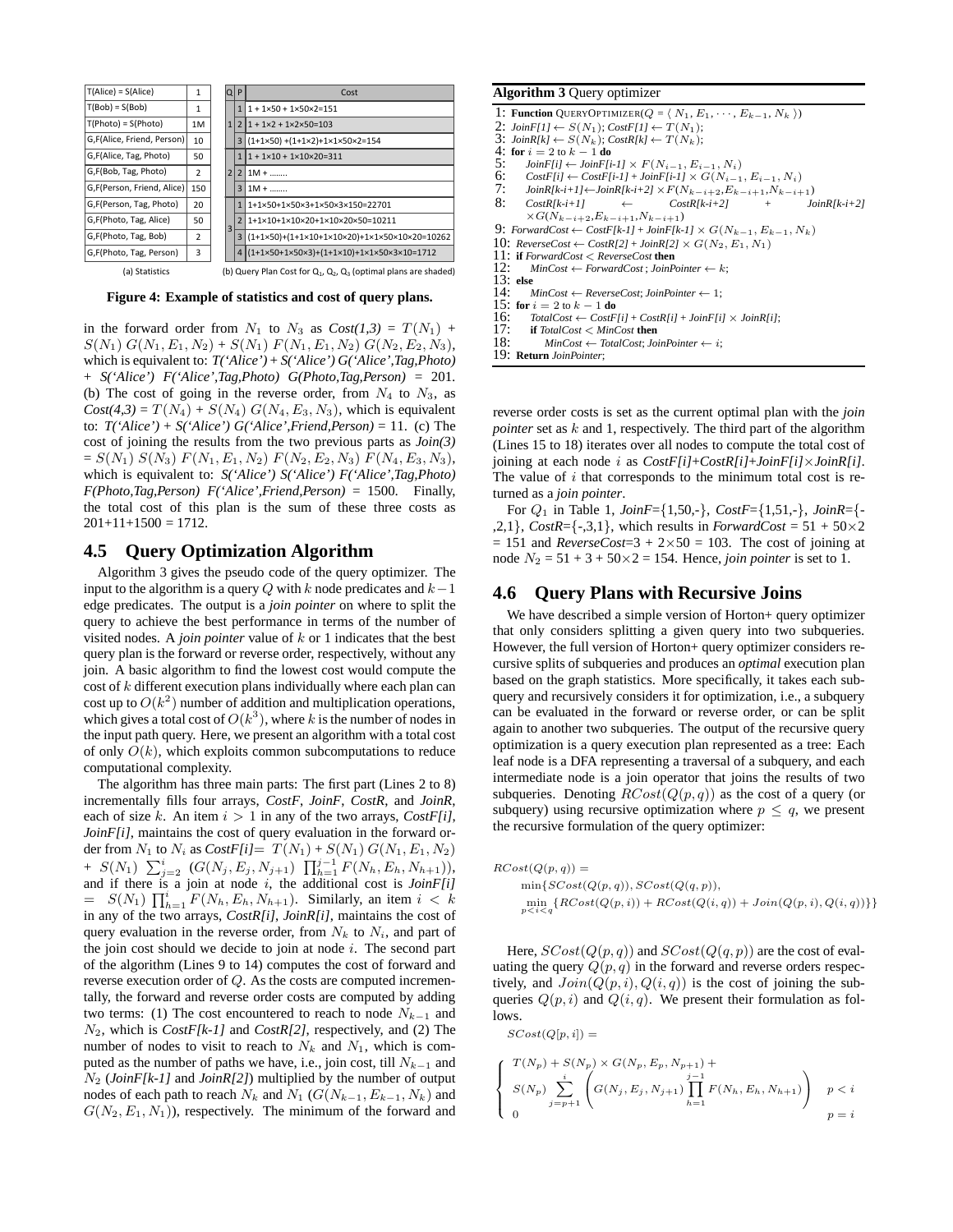

**Figure 4: Example of statistics and cost of query plans.**

in the forward order from  $N_1$  to  $N_3$  as  $Cost(I,3) = T(N_1) +$  $S(N_1) G(N_1, E_1, N_2) + S(N_1) F(N_1, E_1, N_2) G(N_2, E_2, N_3),$ which is equivalent to: *T('Alice')* + *S('Alice') G('Alice',Tag,Photo)* + *S('Alice') F('Alice',Tag,Photo) G(Photo,Tag,Person)* = 201. (b) The cost of going in the reverse order, from  $N_4$  to  $N_3$ , as  $Cost(4,3) = T(N_4) + S(N_4) G(N_4, E_3, N_3)$ , which is equivalent to: *T('Alice')* + *S('Alice') G('Alice',Friend,Person)* = 11. (c) The cost of joining the results from the two previous parts as *Join(3)*  $= S(N_1) S(N_3) F(N_1, E_1, N_2) F(N_2, E_2, N_3) F(N_4, E_3, N_3),$ which is equivalent to: *S('Alice') S('Alice') F('Alice',Tag,Photo) F(Photo,Tag,Person) F('Alice',Friend,Person)* = 1500. Finally, the total cost of this plan is the sum of these three costs as  $201+11+1500 = 1712.$ 

#### **4.5 Query Optimization Algorithm**

Algorithm 3 gives the pseudo code of the query optimizer. The input to the algorithm is a query Q with k node predicates and  $k-1$ edge predicates. The output is a *join pointer* on where to split the query to achieve the best performance in terms of the number of visited nodes. A *join pointer* value of k or 1 indicates that the best query plan is the forward or reverse order, respectively, without any join. A basic algorithm to find the lowest cost would compute the cost of k different execution plans individually where each plan can cost up to  $O(k^2)$  number of addition and multiplication operations, which gives a total cost of  $O(k^3)$ , where k is the number of nodes in the input path query. Here, we present an algorithm with a total cost of only  $O(k)$ , which exploits common subcomputations to reduce computational complexity.

The algorithm has three main parts: The first part (Lines 2 to 8) incrementally fills four arrays, *CostF*, *JoinF*, *CostR*, and *JoinR*, each of size k. An item  $i > 1$  in any of the two arrays,  $CostF[i]$ , *JoinF[i]*, maintains the cost of query evaluation in the forward order from  $N_1$  to  $N_i$  as  $CostF[i] = T(N_1) + S(N_1) G(N_1, E_1, N_2)$ +  $S(N_1)$   $\sum_{j=2}^i$   $(G(N_j, E_j, N_{j+1})$   $\prod_{h=1}^{j-1} F(N_h, E_h, N_{h+1})),$ and if there is a join at node i, the additional cost is *JoinF[i]*  $= S(N_1) \prod_{h=1}^i F(N_h, E_h, N_{h+1})$ . Similarly, an item  $i < k$ in any of the two arrays, *CostR[i]*, *JoinR[i]*, maintains the cost of query evaluation in the reverse order, from  $N_k$  to  $N_i$ , and part of the join cost should we decide to join at node  $i$ . The second part of the algorithm (Lines 9 to 14) computes the cost of forward and reverse execution order of Q. As the costs are computed incrementally, the forward and reverse order costs are computed by adding two terms: (1) The cost encountered to reach to node  $N_{k-1}$  and N2, which is *CostF[k-1]* and *CostR[2]*, respectively, and (2) The number of nodes to visit to reach to  $N_k$  and  $N_1$ , which is computed as the number of paths we have, i.e., join cost, till  $N_{k-1}$  and N<sup>2</sup> (*JoinF[k-1]* and *JoinR[2]*) multiplied by the number of output nodes of each path to reach  $N_k$  and  $N_1$  ( $G(N_{k-1}, E_{k-1}, N_k)$ ) and  $G(N_2, E_1, N_1)$ , respectively. The minimum of the forward and

#### **Algorithm 3** Query optimizer 1: **Function** QUERYOPTIMIZER( $Q = \langle N_1, E_1, \cdots, E_{k-1}, N_k \rangle$ ) 2:  $JoinF[1] \leftarrow S(N_1); CostF[1] \leftarrow T(N_1);$ <br>3:  $JoinR[k] \leftarrow S(N_k); CostR[k] \leftarrow T(N_k);$  $JoinR[k] \leftarrow S(N_k); CostR[k] \leftarrow T(N_k);$ 4: **for**  $i = 2$  to  $k - 1$  **do**<br>5: *JoinF[i]*  $\leftarrow$  *JoinF[i]* 5:  $JoinF[i] \leftarrow JoinF[i-1] \times F(N_{i-1}, E_{i-1}, N_i)$ <br>
6:  $CostF[i] \leftarrow CostF[i-1] + JoinF[i-1] \times G(N_{i-1}$ <br>
7:  $JoinR[k-i+1] \leftarrow JoinR[k,i+2] \times F(N_{k-i+2}, E_k)$  $CostF[i] \leftarrow CostF[i\text{-}1] + JoinF[i\text{-}1] \times G(N_{i-1}, E_{i-1}, N_i)$ 7: *JoinR[k-i+1]*←*JoinR[k-i+2]* ×  $F(N_{k-i+2}, E_{k-i+1}, N_{k-i+1})$ <br>8:  $CostR[k-i+1]$  ←  $CostR[k-i+2]$  +  $JoinR[k-i+2]$  $\leftarrow$   $CostR[k-i+2]$  $\times G(N_{k-i+2},E_{k-i+1},N_{k-i+1})$ 9: *ForwardCost* ←  $CostF[k-1] + JoinF[k-1] \times G(N_{k-1}, E_{k-1}, N_k)$  $10: \,\, \mathit{ReverseCost} \leftarrow \mathit{CostR[2]} + \mathit{JoinR[2]} \times \mathit{G(N_2, E_1, N_1)}$ 11: **if** *ForwardCost*  $\lt$  *ReverseCost* **then**<br>12: *MinCost*  $\leftarrow$  *ForwardCost : JoinP*  $MinCost \leftarrow ForwardCost : JoinPointer \leftarrow k$ 13: **else** 14: *MinCost*  $\leftarrow$  *ReverseCost*; *JoinPointer*  $\leftarrow$  1; 15: **for**  $i = 2$  to  $k - 1$  **do** 16: *TotalCost* ←  $CostF[i] + CostR[i] + JoinF[i] \times JoinR[i];$ <br>17: **if**  $TotalCost < MinCost$  then 17: **if**  $TotalCost < MinCost$  **then**<br>18: *MinCost*  $\leftarrow TotalCost$  *Io*  $MinCost \leftarrow TotalCost; JoinPointer \leftarrow i;$ 19: **Return** *JoinPointer*;

reverse order costs is set as the current optimal plan with the *join pointer* set as  $k$  and 1, respectively. The third part of the algorithm (Lines 15 to 18) iterates over all nodes to compute the total cost of joining at each node i as *CostF[i]*+*CostR[i]*+*JoinF[i]*×*JoinR[i]*. The value of  $i$  that corresponds to the minimum total cost is returned as a *join pointer*.

For Q<sup>1</sup> in Table 1, *JoinF*={1,50,-}, *CostF*={1,51,-}, *JoinR*={- ,2,1}, *CostR*= $\{-3,1\}$ , which results in *ForwardCost* = 51 + 50×2  $= 151$  and *ReverseCost*=3 + 2×50 = 103. The cost of joining at node  $N_2 = 51 + 3 + 50 \times 2 = 154$ . Hence, *join pointer* is set to 1.

#### **4.6 Query Plans with Recursive Joins**

We have described a simple version of Horton+ query optimizer that only considers splitting a given query into two subqueries. However, the full version of Horton+ query optimizer considers recursive splits of subqueries and produces an *optimal* execution plan based on the graph statistics. More specifically, it takes each subquery and recursively considers it for optimization, i.e., a subquery can be evaluated in the forward or reverse order, or can be split again to another two subqueries. The output of the recursive query optimization is a query execution plan represented as a tree: Each leaf node is a DFA representing a traversal of a subquery, and each intermediate node is a join operator that joins the results of two subqueries. Denoting  $RCost(Q(p, q))$  as the cost of a query (or subquery) using recursive optimization where  $p \leq q$ , we present the recursive formulation of the query optimizer:

```
RCost(Q(p, q)) =min\{SCost(Q(p,q)), SCost(Q(q,p)),\min_{p < i < q} \{ RCost(Q(p, i)) + RCost(Q(i, q)) + Join(Q(p, i), Q(i, q)) \} \}
```
Here,  $SCost(Q(p, q))$  and  $SCost(Q(q, p))$  are the cost of evaluating the query  $Q(p, q)$  in the forward and reverse orders respectively, and  $Join(Q(p, i), Q(i, q))$  is the cost of joining the subqueries  $Q(p, i)$  and  $Q(i, q)$ . We present their formulation as follows.

$$
SCost(Q[p, i]) =
$$

$$
\begin{cases}\nT(N_p) + S(N_p) \times G(N_p, E_p, N_{p+1}) + \\
S(N_p) \sum_{j=p+1}^{i} \left( G(N_j, E_j, N_{j+1}) \prod_{h=1}^{j-1} F(N_h, E_h, N_{h+1}) \right) & p < i \\
0 & p = i\n\end{cases}
$$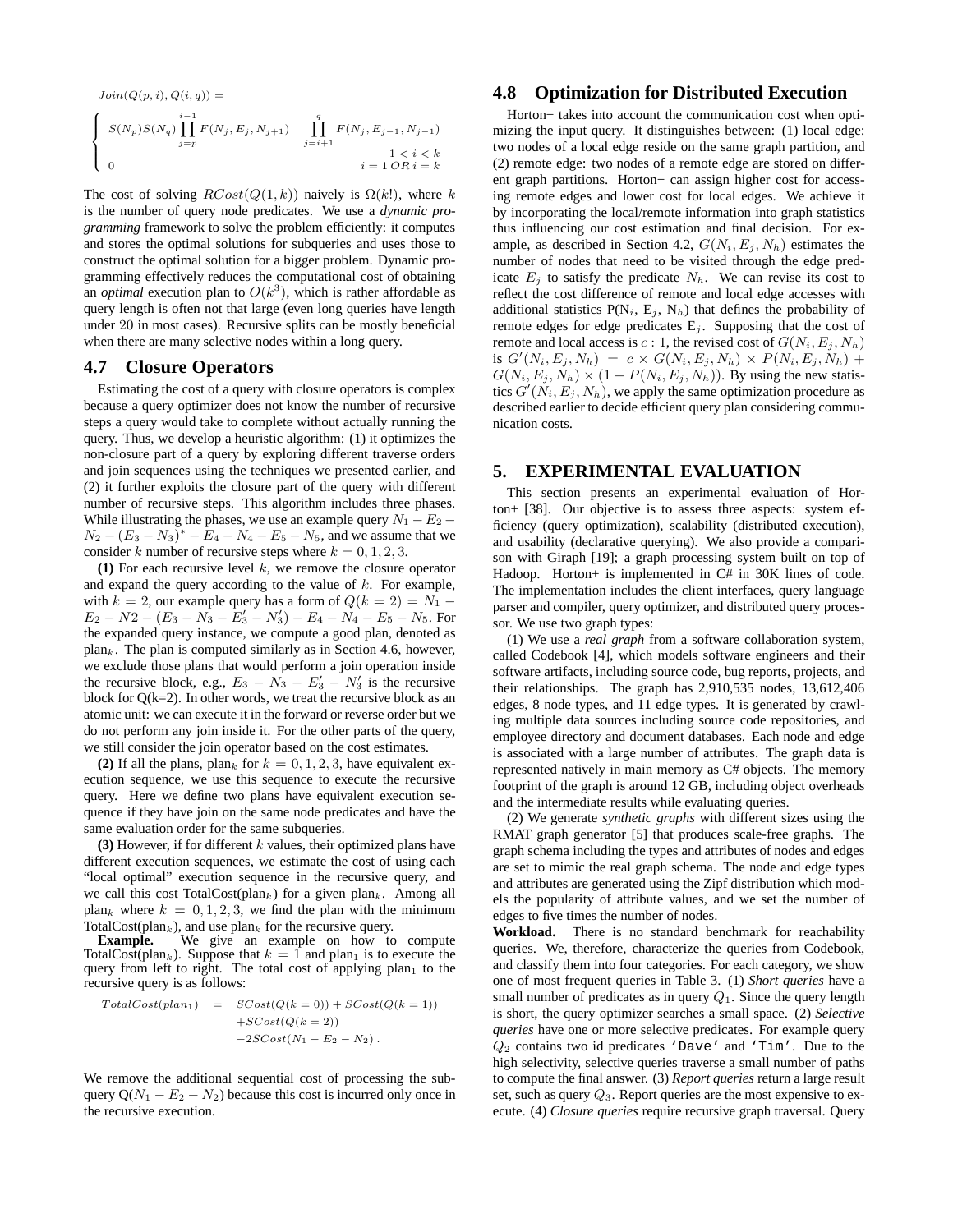$$
Join(Q(p, i), Q(i, q)) =
$$
  
\n
$$
\begin{cases}\nS(N_p)S(N_q) \prod_{j=p}^{i-1} F(N_j, E_j, N_{j+1}) & \prod_{j=i+1}^{q} F(N_j, E_{j-1}, N_{j-1}) \\
0 & i = 1 \text{ } OR \text{ } i = k\n\end{cases}
$$

The cost of solving  $RCost(Q(1, k))$  naively is  $\Omega(k!)$ , where k is the number of query node predicates. We use a *dynamic programming* framework to solve the problem efficiently: it computes and stores the optimal solutions for subqueries and uses those to construct the optimal solution for a bigger problem. Dynamic programming effectively reduces the computational cost of obtaining an *optimal* execution plan to  $O(k^3)$ , which is rather affordable as query length is often not that large (even long queries have length under 20 in most cases). Recursive splits can be mostly beneficial when there are many selective nodes within a long query.

#### **4.7 Closure Operators**

Estimating the cost of a query with closure operators is complex because a query optimizer does not know the number of recursive steps a query would take to complete without actually running the query. Thus, we develop a heuristic algorithm: (1) it optimizes the non-closure part of a query by exploring different traverse orders and join sequences using the techniques we presented earlier, and (2) it further exploits the closure part of the query with different number of recursive steps. This algorithm includes three phases. While illustrating the phases, we use an example query  $N_1 - E_2$  –  $N_2 - (E_3 - N_3)^* - E_4 - N_4 - E_5 - N_5$ , and we assume that we consider k number of recursive steps where  $k = 0, 1, 2, 3$ .

**(1)** For each recursive level k, we remove the closure operator and expand the query according to the value of  $k$ . For example, with  $k = 2$ , our example query has a form of  $Q(k = 2) = N_1$  –  $E_2 - N2 - (E_3 - N_3 - E_3' - N_3') - E_4 - N_4 - E_5 - N_5$ . For the expanded query instance, we compute a good plan, denoted as  $plan_k$ . The plan is computed similarly as in Section 4.6, however, we exclude those plans that would perform a join operation inside the recursive block, e.g.,  $E_3 - N_3 - E'_3 - N'_3$  is the recursive block for  $Q(k=2)$ . In other words, we treat the recursive block as an atomic unit: we can execute it in the forward or reverse order but we do not perform any join inside it. For the other parts of the query, we still consider the join operator based on the cost estimates.

(2) If all the plans, plan<sub>k</sub> for  $k = 0, 1, 2, 3$ , have equivalent execution sequence, we use this sequence to execute the recursive query. Here we define two plans have equivalent execution sequence if they have join on the same node predicates and have the same evaluation order for the same subqueries.

**(3)** However, if for different k values, their optimized plans have different execution sequences, we estimate the cost of using each "local optimal" execution sequence in the recursive query, and we call this cost  $TotalCost(plan_k)$  for a given plan<sub>k</sub>. Among all plan<sub>k</sub> where  $k = 0, 1, 2, 3$ , we find the plan with the minimum TotalCost(plan<sub>k</sub>), and use plan<sub>k</sub> for the recursive query.<br>**Example.** We give an example on how to

We give an example on how to compute TotalCost(plan<sub>k</sub>). Suppose that  $k = 1$  and plan<sub>1</sub> is to execute the query from left to right. The total cost of applying plan<sub>1</sub> to the recursive query is as follows:

$$
TotalCost(plan_1) = SCost(Q(k = 0)) + SCost(Q(k = 1))
$$
  
+SCost(Q(k = 2))  
-2SCost(N<sub>1</sub> - E<sub>2</sub> - N<sub>2</sub>).

We remove the additional sequential cost of processing the subquery  $Q(N_1 - E_2 - N_2)$  because this cost is incurred only once in the recursive execution.

## **4.8 Optimization for Distributed Execution**

Horton+ takes into account the communication cost when optimizing the input query. It distinguishes between: (1) local edge: two nodes of a local edge reside on the same graph partition, and (2) remote edge: two nodes of a remote edge are stored on different graph partitions. Horton+ can assign higher cost for accessing remote edges and lower cost for local edges. We achieve it by incorporating the local/remote information into graph statistics thus influencing our cost estimation and final decision. For example, as described in Section 4.2,  $G(N_i, E_j, N_h)$  estimates the number of nodes that need to be visited through the edge predicate  $E_i$  to satisfy the predicate  $N_h$ . We can revise its cost to reflect the cost difference of remote and local edge accesses with additional statistics  $P(N_i, E_i, N_h)$  that defines the probability of remote edges for edge predicates  $E_j$ . Supposing that the cost of remote and local access is  $c: 1$ , the revised cost of  $G(N_i, E_j, N_h)$ is  $G'(N_i, E_j, N_h) = c \times G(N_i, E_j, N_h) \times P(N_i, E_j, N_h) +$  $G(N_i, E_j, N_h) \times (1 - P(N_i, E_j, N_h))$ . By using the new statistics  $G'(N_i, E_j, N_h)$ , we apply the same optimization procedure as described earlier to decide efficient query plan considering communication costs.

#### **5. EXPERIMENTAL EVALUATION**

This section presents an experimental evaluation of Horton+ [38]. Our objective is to assess three aspects: system efficiency (query optimization), scalability (distributed execution), and usability (declarative querying). We also provide a comparison with Giraph [19]; a graph processing system built on top of Hadoop. Horton+ is implemented in C# in 30K lines of code. The implementation includes the client interfaces, query language parser and compiler, query optimizer, and distributed query processor. We use two graph types:

(1) We use a *real graph* from a software collaboration system, called Codebook [4], which models software engineers and their software artifacts, including source code, bug reports, projects, and their relationships. The graph has 2,910,535 nodes, 13,612,406 edges, 8 node types, and 11 edge types. It is generated by crawling multiple data sources including source code repositories, and employee directory and document databases. Each node and edge is associated with a large number of attributes. The graph data is represented natively in main memory as C# objects. The memory footprint of the graph is around 12 GB, including object overheads and the intermediate results while evaluating queries.

(2) We generate *synthetic graphs* with different sizes using the RMAT graph generator [5] that produces scale-free graphs. The graph schema including the types and attributes of nodes and edges are set to mimic the real graph schema. The node and edge types and attributes are generated using the Zipf distribution which models the popularity of attribute values, and we set the number of edges to five times the number of nodes.

**Workload.** There is no standard benchmark for reachability queries. We, therefore, characterize the queries from Codebook, and classify them into four categories. For each category, we show one of most frequent queries in Table 3. (1) *Short queries* have a small number of predicates as in query  $Q_1$ . Since the query length is short, the query optimizer searches a small space. (2) *Selective queries* have one or more selective predicates. For example query  $Q_2$  contains two id predicates 'Dave' and 'Tim'. Due to the high selectivity, selective queries traverse a small number of paths to compute the final answer. (3) *Report queries* return a large result set, such as query  $Q_3$ . Report queries are the most expensive to execute. (4) *Closure queries* require recursive graph traversal. Query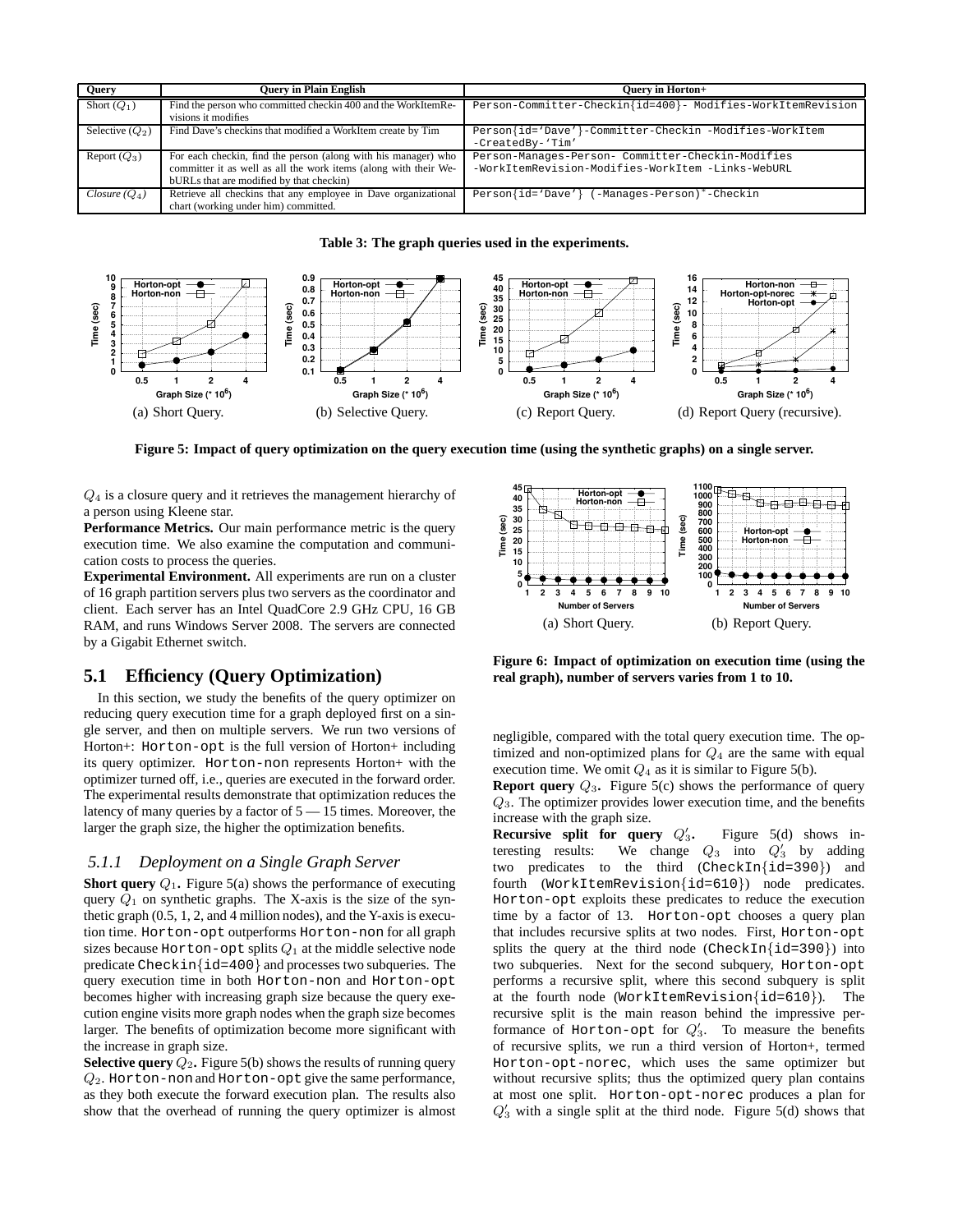| Query             | <b>Ouery in Plain English</b>                                                                                                                                                  | <b>Ouery in Horton+</b>                                                                                |
|-------------------|--------------------------------------------------------------------------------------------------------------------------------------------------------------------------------|--------------------------------------------------------------------------------------------------------|
| Short $(Q_1)$     | Find the person who committed checkin 400 and the WorkItemRe-<br>visions it modifies                                                                                           | Person-Committer-Checkin{id=400}- Modifies-WorkItemRevision                                            |
| Selective $(Q_2)$ | Find Dave's checkins that modified a WorkItem create by Tim                                                                                                                    | Person{id='Dave'}-Committer-Checkin -Modifies-WorkItem<br>-CreatedBy-'Tim'                             |
| Report $(Q_3)$    | For each checkin, find the person (along with his manager) who<br>committer it as well as all the work items (along with their We-<br>bURLs that are modified by that checkin) | Person-Manages-Person- Committer-Checkin-Modifies<br>-WorkItemRevision-Modifies-WorkItem -Links-WebURL |
| Closure $(Q_4)$   | Retrieve all checkins that any employee in Dave organizational<br>chart (working under him) committed.                                                                         | $Person\{id='Dave'\}$<br>(-Manages-Person)*-Checkin                                                    |

**Table 3: The graph queries used in the experiments.**



**Figure 5: Impact of query optimization on the query execution time (using the synthetic graphs) on a single server.**

 $Q_4$  is a closure query and it retrieves the management hierarchy of a person using Kleene star.

**Performance Metrics.** Our main performance metric is the query execution time. We also examine the computation and communication costs to process the queries.

**Experimental Environment.** All experiments are run on a cluster of 16 graph partition servers plus two servers as the coordinator and client. Each server has an Intel QuadCore 2.9 GHz CPU, 16 GB RAM, and runs Windows Server 2008. The servers are connected by a Gigabit Ethernet switch.

## **5.1 Efficiency (Query Optimization)**

In this section, we study the benefits of the query optimizer on reducing query execution time for a graph deployed first on a single server, and then on multiple servers. We run two versions of Horton+: Horton-opt is the full version of Horton+ including its query optimizer. Horton-non represents Horton+ with the optimizer turned off, i.e., queries are executed in the forward order. The experimental results demonstrate that optimization reduces the latency of many queries by a factor of 5 — 15 times. Moreover, the larger the graph size, the higher the optimization benefits.

#### *5.1.1 Deployment on a Single Graph Server*

**Short query**  $Q_1$ . Figure 5(a) shows the performance of executing query  $Q_1$  on synthetic graphs. The X-axis is the size of the synthetic graph (0.5, 1, 2, and 4 million nodes), and the Y-axis is execution time. Horton-opt outperforms Horton-non for all graph sizes because Horton-opt splits  $Q_1$  at the middle selective node predicate Checkin{id=400} and processes two subqueries. The query execution time in both Horton-non and Horton-opt becomes higher with increasing graph size because the query execution engine visits more graph nodes when the graph size becomes larger. The benefits of optimization become more significant with the increase in graph size.

**Selective query**  $Q_2$ . Figure 5(b) shows the results of running query  $Q_2$ . Horton-non and Horton-opt give the same performance, as they both execute the forward execution plan. The results also show that the overhead of running the query optimizer is almost



**Figure 6: Impact of optimization on execution time (using the real graph), number of servers varies from 1 to 10.**

negligible, compared with the total query execution time. The optimized and non-optimized plans for  $Q_4$  are the same with equal execution time. We omit  $Q_4$  as it is similar to Figure 5(b).

**Report query**  $Q_3$ . Figure 5(c) shows the performance of query Q3. The optimizer provides lower execution time, and the benefits increase with the graph size.

**Recursive split for query** Q ′ Figure 5(d) shows interesting results: We change  $Q_3$  into  $Q'_3$  by adding two predicates to the third (CheckIn{id=390}) and fourth (WorkItemRevision{id=610}) node predicates. Horton-opt exploits these predicates to reduce the execution time by a factor of 13. Horton-opt chooses a query plan that includes recursive splits at two nodes. First, Horton-opt splits the query at the third node (CheckIn $\{id=390\}$ ) into two subqueries. Next for the second subquery, Horton-opt performs a recursive split, where this second subquery is split at the fourth node (WorkItemRevision{id=610}). The recursive split is the main reason behind the impressive performance of Horton-opt for  $Q'_3$ . To measure the benefits of recursive splits, we run a third version of Horton+, termed Horton-opt-norec, which uses the same optimizer but without recursive splits; thus the optimized query plan contains at most one split. Horton-opt-norec produces a plan for  $Q'_3$  with a single split at the third node. Figure 5(d) shows that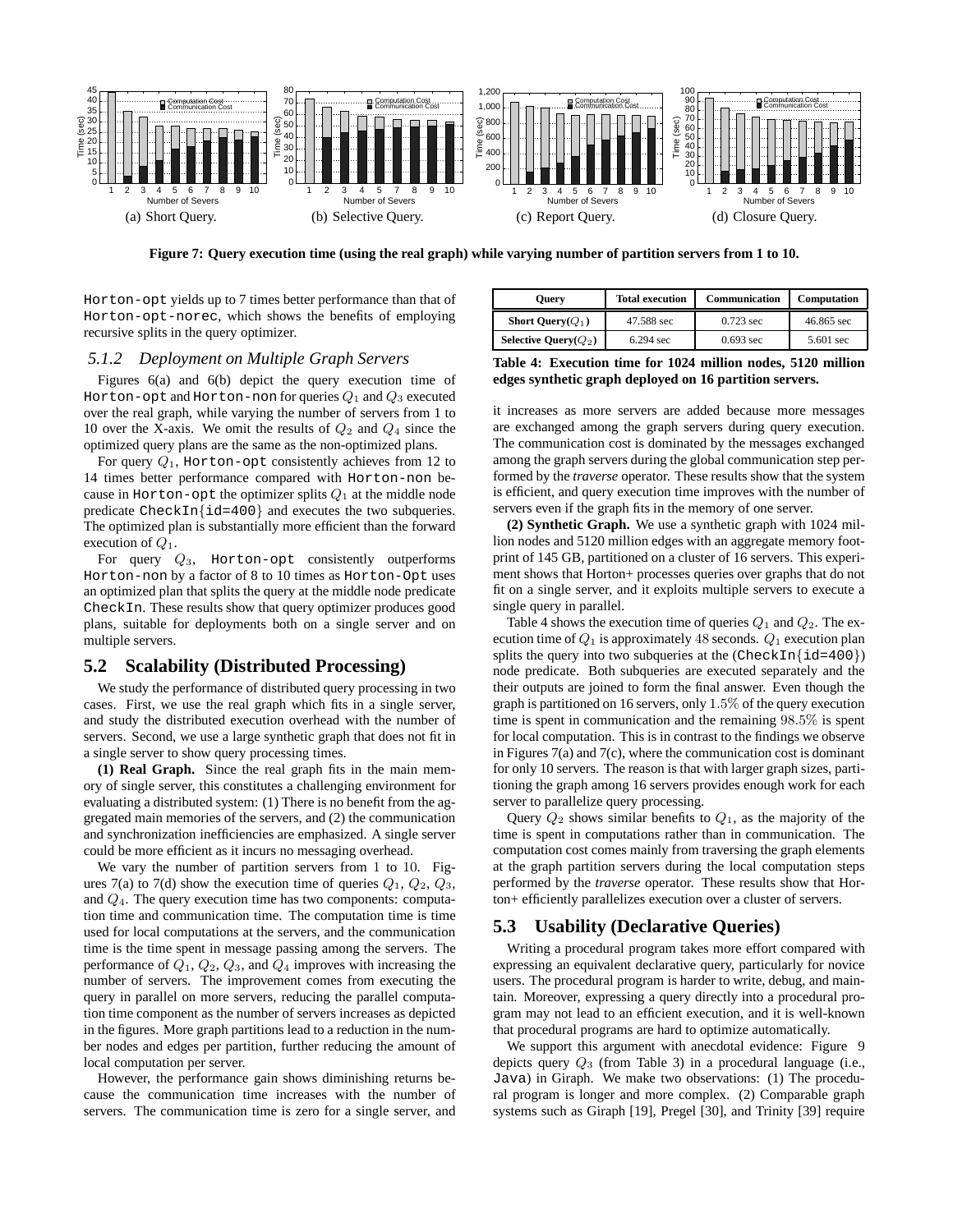

**Figure 7: Query execution time (using the real graph) while varying number of partition servers from 1 to 10.**

Horton-opt yields up to 7 times better performance than that of Horton-opt-norec, which shows the benefits of employing recursive splits in the query optimizer.

#### *5.1.2 Deployment on Multiple Graph Servers*

Figures 6(a) and 6(b) depict the query execution time of Horton-opt and Horton-non for queries  $Q_1$  and  $Q_3$  executed over the real graph, while varying the number of servers from 1 to 10 over the X-axis. We omit the results of  $Q_2$  and  $Q_4$  since the optimized query plans are the same as the non-optimized plans.

For query  $Q_1$ , Horton-opt consistently achieves from 12 to 14 times better performance compared with Horton-non because in Horton-opt the optimizer splits  $Q_1$  at the middle node predicate CheckIn{id=400} and executes the two subqueries. The optimized plan is substantially more efficient than the forward execution of  $Q_1$ .

For query  $Q_3$ , Horton-opt consistently outperforms Horton-non by a factor of 8 to 10 times as Horton-Opt uses an optimized plan that splits the query at the middle node predicate CheckIn. These results show that query optimizer produces good plans, suitable for deployments both on a single server and on multiple servers.

#### **5.2 Scalability (Distributed Processing)**

We study the performance of distributed query processing in two cases. First, we use the real graph which fits in a single server, and study the distributed execution overhead with the number of servers. Second, we use a large synthetic graph that does not fit in a single server to show query processing times.

**(1) Real Graph.** Since the real graph fits in the main memory of single server, this constitutes a challenging environment for evaluating a distributed system: (1) There is no benefit from the aggregated main memories of the servers, and (2) the communication and synchronization inefficiencies are emphasized. A single server could be more efficient as it incurs no messaging overhead.

We vary the number of partition servers from 1 to 10. Figures 7(a) to 7(d) show the execution time of queries  $Q_1, Q_2, Q_3$ , and  $Q_4$ . The query execution time has two components: computation time and communication time. The computation time is time used for local computations at the servers, and the communication time is the time spent in message passing among the servers. The performance of  $Q_1$ ,  $Q_2$ ,  $Q_3$ , and  $Q_4$  improves with increasing the number of servers. The improvement comes from executing the query in parallel on more servers, reducing the parallel computation time component as the number of servers increases as depicted in the figures. More graph partitions lead to a reduction in the number nodes and edges per partition, further reducing the amount of local computation per server.

However, the performance gain shows diminishing returns because the communication time increases with the number of servers. The communication time is zero for a single server, and

| <b>Ouery</b>               | <b>Total execution</b> | Communication | Computation |
|----------------------------|------------------------|---------------|-------------|
| <b>Short Query</b> $(Q_1)$ | 47.588 sec             | $0.723$ sec   | 46.865 sec  |
| Selective Query $(Q_2)$    | $6.294$ sec            | $0.693$ sec   | 5.601 sec   |

**Table 4: Execution time for 1024 million nodes, 5120 million edges synthetic graph deployed on 16 partition servers.**

it increases as more servers are added because more messages are exchanged among the graph servers during query execution. The communication cost is dominated by the messages exchanged among the graph servers during the global communication step performed by the *traverse* operator. These results show that the system is efficient, and query execution time improves with the number of servers even if the graph fits in the memory of one server.

**(2) Synthetic Graph.** We use a synthetic graph with 1024 million nodes and 5120 million edges with an aggregate memory footprint of 145 GB, partitioned on a cluster of 16 servers. This experiment shows that Horton+ processes queries over graphs that do not fit on a single server, and it exploits multiple servers to execute a single query in parallel.

Table 4 shows the execution time of queries  $Q_1$  and  $Q_2$ . The execution time of  $Q_1$  is approximately 48 seconds.  $Q_1$  execution plan splits the query into two subqueries at the (CheckIn $\{id=400\}$ ) node predicate. Both subqueries are executed separately and the their outputs are joined to form the final answer. Even though the graph is partitioned on 16 servers, only 1.5% of the query execution time is spent in communication and the remaining 98.5% is spent for local computation. This is in contrast to the findings we observe in Figures 7(a) and 7(c), where the communication cost is dominant for only 10 servers. The reason is that with larger graph sizes, partitioning the graph among 16 servers provides enough work for each server to parallelize query processing.

Query  $Q_2$  shows similar benefits to  $Q_1$ , as the majority of the time is spent in computations rather than in communication. The computation cost comes mainly from traversing the graph elements at the graph partition servers during the local computation steps performed by the *traverse* operator. These results show that Horton+ efficiently parallelizes execution over a cluster of servers.

# **5.3 Usability (Declarative Queries)**

Writing a procedural program takes more effort compared with expressing an equivalent declarative query, particularly for novice users. The procedural program is harder to write, debug, and maintain. Moreover, expressing a query directly into a procedural program may not lead to an efficient execution, and it is well-known that procedural programs are hard to optimize automatically.

We support this argument with anecdotal evidence: Figure 9 depicts query  $Q_3$  (from Table 3) in a procedural language (i.e., Java) in Giraph. We make two observations: (1) The procedural program is longer and more complex. (2) Comparable graph systems such as Giraph [19], Pregel [30], and Trinity [39] require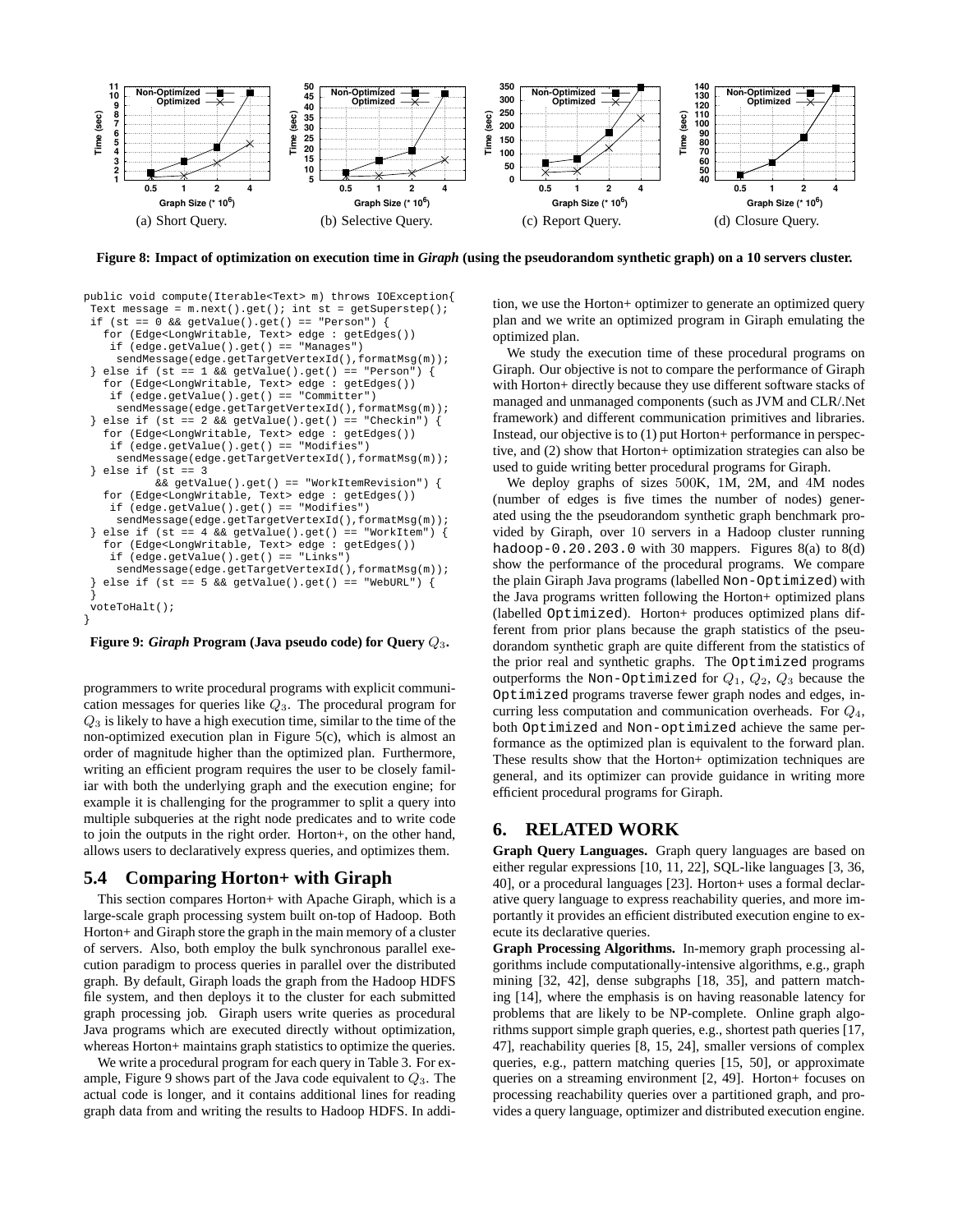

**Figure 8: Impact of optimization on execution time in** *Giraph* **(using the pseudorandom synthetic graph) on a 10 servers cluster.**

```
public void compute(Iterable<Text> m) throws IOException{
Text message = m.next() . get(); int st = getSuperstep();
if (st == 0 \& getValue().get() == "Person") {
   for (Edge<LongWritable, Text> edge : getEdges())
    if (edge.getValue().get() == "Manages")
     sendMessage(edge.getTargetVertexId(),formatMsg(m));
 \} else if (st == 1 && qetValue().get() == "Person") {
   for (Edge<LongWritable, Text> edge : getEdges())
    if (edge.getValue().get() == "Committer")
     sendMessage(edge.getTargetVertexId(),formatMsg(m));
 } else if (st == 2 && getValue().get() == "Checkin") {
   for (Edge<LongWritable, Text> edge : getEdges())
    if (edge.getValue().get() == "Modifies")
     sendMessage(edge.getTargetVertexId(),formatMsg(m));
} else if (st == 3
           && getValue().get() == "WorkItemRevision") {
   for (Edge<LongWritable, Text> edge : getEdges())
    if (edge.getValue().get() == "Modifies")
     sendMessage(edge.getTargetVertexId(),formatMsg(m));
 } else if (st == 4 && getValue().get() == "WorkItem") {
   for (Edge<LongWritable, Text> edge : getEdges())
    if (edge.getValue().get() == "Links")
     sendMessage(edge.getTargetVertexId(),formatMsg(m));
  else if (st == 5 && getValue().get() == "WebURL") {
 }
 .<br>voteToHalt();
}
```
**Figure 9:** *Giraph* **Program (Java pseudo code) for Query** Q3**.**

programmers to write procedural programs with explicit communication messages for queries like  $Q_3$ . The procedural program for  $Q_3$  is likely to have a high execution time, similar to the time of the non-optimized execution plan in Figure 5(c), which is almost an order of magnitude higher than the optimized plan. Furthermore, writing an efficient program requires the user to be closely familiar with both the underlying graph and the execution engine; for example it is challenging for the programmer to split a query into multiple subqueries at the right node predicates and to write code to join the outputs in the right order. Horton+, on the other hand, allows users to declaratively express queries, and optimizes them.

#### **5.4 Comparing Horton+ with Giraph**

This section compares Horton+ with Apache Giraph, which is a large-scale graph processing system built on-top of Hadoop. Both Horton+ and Giraph store the graph in the main memory of a cluster of servers. Also, both employ the bulk synchronous parallel execution paradigm to process queries in parallel over the distributed graph. By default, Giraph loads the graph from the Hadoop HDFS file system, and then deploys it to the cluster for each submitted graph processing job. Giraph users write queries as procedural Java programs which are executed directly without optimization, whereas Horton+ maintains graph statistics to optimize the queries.

We write a procedural program for each query in Table 3. For example, Figure 9 shows part of the Java code equivalent to  $Q_3$ . The actual code is longer, and it contains additional lines for reading graph data from and writing the results to Hadoop HDFS. In addition, we use the Horton+ optimizer to generate an optimized query plan and we write an optimized program in Giraph emulating the optimized plan.

We study the execution time of these procedural programs on Giraph. Our objective is not to compare the performance of Giraph with Horton+ directly because they use different software stacks of managed and unmanaged components (such as JVM and CLR/.Net framework) and different communication primitives and libraries. Instead, our objective is to (1) put Horton+ performance in perspective, and (2) show that Horton+ optimization strategies can also be used to guide writing better procedural programs for Giraph.

We deploy graphs of sizes 500K, 1M, 2M, and 4M nodes (number of edges is five times the number of nodes) generated using the the pseudorandom synthetic graph benchmark provided by Giraph, over 10 servers in a Hadoop cluster running hadoop-0.20.203.0 with 30 mappers. Figures 8(a) to 8(d) show the performance of the procedural programs. We compare the plain Giraph Java programs (labelled Non-Optimized) with the Java programs written following the Horton+ optimized plans (labelled Optimized). Horton+ produces optimized plans different from prior plans because the graph statistics of the pseudorandom synthetic graph are quite different from the statistics of the prior real and synthetic graphs. The Optimized programs outperforms the Non-Optimized for  $Q_1$ ,  $Q_2$ ,  $Q_3$  because the Optimized programs traverse fewer graph nodes and edges, incurring less computation and communication overheads. For Q4, both Optimized and Non-optimized achieve the same performance as the optimized plan is equivalent to the forward plan. These results show that the Horton+ optimization techniques are general, and its optimizer can provide guidance in writing more efficient procedural programs for Giraph.

## **6. RELATED WORK**

**Graph Query Languages.** Graph query languages are based on either regular expressions [10, 11, 22], SQL-like languages [3, 36, 40], or a procedural languages [23]. Horton+ uses a formal declarative query language to express reachability queries, and more importantly it provides an efficient distributed execution engine to execute its declarative queries.

**Graph Processing Algorithms.** In-memory graph processing algorithms include computationally-intensive algorithms, e.g., graph mining [32, 42], dense subgraphs [18, 35], and pattern matching [14], where the emphasis is on having reasonable latency for problems that are likely to be NP-complete. Online graph algorithms support simple graph queries, e.g., shortest path queries [17, 47], reachability queries [8, 15, 24], smaller versions of complex queries, e.g., pattern matching queries [15, 50], or approximate queries on a streaming environment [2, 49]. Horton+ focuses on processing reachability queries over a partitioned graph, and provides a query language, optimizer and distributed execution engine.